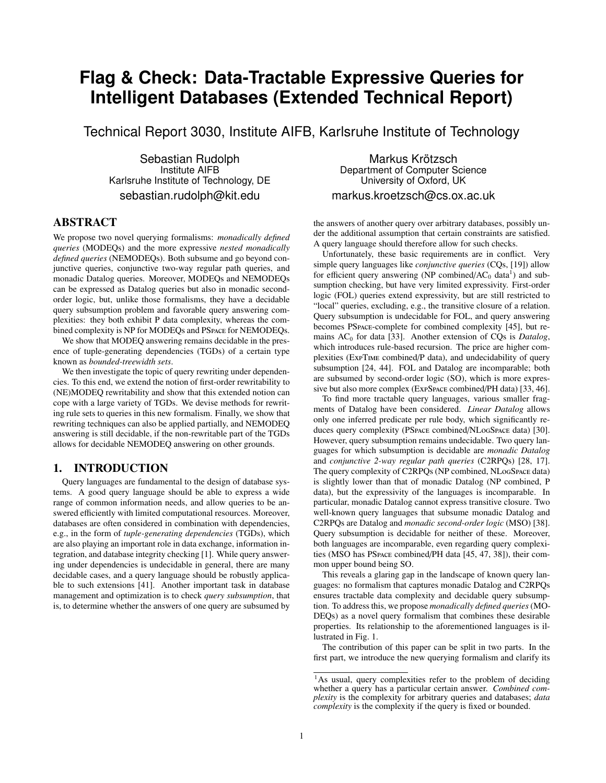# **Flag & Check: Data-Tractable Expressive Queries for Intelligent Databases (Extended Technical Report)**

Technical Report 3030, Institute AIFB, Karlsruhe Institute of Technology

Sebastian Rudolph Institute AIFB Karlsruhe Institute of Technology, DE sebastian.rudolph@kit.edu

# ABSTRACT

We propose two novel querying formalisms: *monadically defined queries* (MODEQs) and the more expressive *nested monadically defined queries* (NEMODEQs). Both subsume and go beyond conjunctive queries, conjunctive two-way regular path queries, and monadic Datalog queries. Moreover, MODEQs and NEMODEQs can be expressed as Datalog queries but also in monadic secondorder logic, but, unlike those formalisms, they have a decidable query subsumption problem and favorable query answering complexities: they both exhibit P data complexity, whereas the combined complexity is NP for MODEQs and PSpace for NEMODEQs.

We show that MODEQ answering remains decidable in the presence of tuple-generating dependencies (TGDs) of a certain type known as *bounded-treewidth sets*.

We then investigate the topic of query rewriting under dependencies. To this end, we extend the notion of first-order rewritability to (NE)MODEQ rewritability and show that this extended notion can cope with a large variety of TGDs. We devise methods for rewriting rule sets to queries in this new formalism. Finally, we show that rewriting techniques can also be applied partially, and NEMODEQ answering is still decidable, if the non-rewritable part of the TGDs allows for decidable NEMODEQ answering on other grounds.

# 1. INTRODUCTION

Query languages are fundamental to the design of database systems. A good query language should be able to express a wide range of common information needs, and allow queries to be answered efficiently with limited computational resources. Moreover, databases are often considered in combination with dependencies, e.g., in the form of *tuple-generating dependencies* (TGDs), which are also playing an important role in data exchange, information integration, and database integrity checking [\[1\]](#page-10-0). While query answering under dependencies is undecidable in general, there are many decidable cases, and a query language should be robustly applicable to such extensions [\[41\]](#page-11-0). Another important task in database management and optimization is to check *query subsumption*, that is, to determine whether the answers of one query are subsumed by

Markus Krötzsch Department of Computer Science University of Oxford, UK markus.kroetzsch@cs.ox.ac.uk

the answers of another query over arbitrary databases, possibly under the additional assumption that certain constraints are satisfied. A query language should therefore allow for such checks.

Unfortunately, these basic requirements are in conflict. Very simple query languages like *conjunctive queries* (CQs, [\[19\]](#page-11-1)) allow for efficient query answering (NP combined/ $AC_0$  data<sup>[1](#page-0-0)</sup>) and subsumption checking, but have very limited expressivity. First-order logic (FOL) queries extend expressivity, but are still restricted to "local" queries, excluding, e.g., the transitive closure of a relation. Query subsumption is undecidable for FOL, and query answering becomes PSpace-complete for combined complexity [\[45\]](#page-11-2), but re-mains AC<sub>0</sub> for data [\[33\]](#page-11-3). Another extension of CQs is *Datalog*, which introduces rule-based recursion. The price are higher complexities (ExpTime combined/P data), and undecidability of query subsumption [\[24,](#page-11-4) [44\]](#page-11-5). FOL and Datalog are incomparable; both are subsumed by second-order logic (SO), which is more expressive but also more complex (ExpSpace combined/PH data) [\[33,](#page-11-3) [46\]](#page-11-6).

To find more tractable query languages, various smaller fragments of Datalog have been considered. *Linear Datalog* allows only one inferred predicate per rule body, which significantly reduces query complexity (PSpace combined/NLogSpace data) [\[30\]](#page-11-7). However, query subsumption remains undecidable. Two query languages for which subsumption is decidable are *monadic Datalog* and *conjunctive 2-way regular path queries* (C2RPQs) [\[28,](#page-11-8) [17\]](#page-11-9). The query complexity of C2RPQs (NP combined, NLogSpace data) is slightly lower than that of monadic Datalog (NP combined, P data), but the expressivity of the languages is incomparable. In particular, monadic Datalog cannot express transitive closure. Two well-known query languages that subsume monadic Datalog and C2RPQs are Datalog and *monadic second-order logic* (MSO) [\[38\]](#page-11-10). Query subsumption is decidable for neither of these. Moreover, both languages are incomparable, even regarding query complexities (MSO has PSpace combined/PH data [\[45,](#page-11-2) [47,](#page-11-11) [38\]](#page-11-10)), their common upper bound being SO.

This reveals a glaring gap in the landscape of known query languages: no formalism that captures monadic Datalog and C2RPQs ensures tractable data complexity and decidable query subsumption. To address this, we propose *monadically defined queries*(MO-DEQs) as a novel query formalism that combines these desirable properties. Its relationship to the aforementioned languages is illustrated in Fig. [1.](#page-1-0)

The contribution of this paper can be split in two parts. In the first part, we introduce the new querying formalism and clarify its

<span id="page-0-0"></span><sup>&</sup>lt;sup>1</sup>As usual, query complexities refer to the problem of deciding whether a query has a particular certain answer. *Combined complexity* is the complexity for arbitrary queries and databases; *data complexity* is the complexity if the query is fixed or bounded.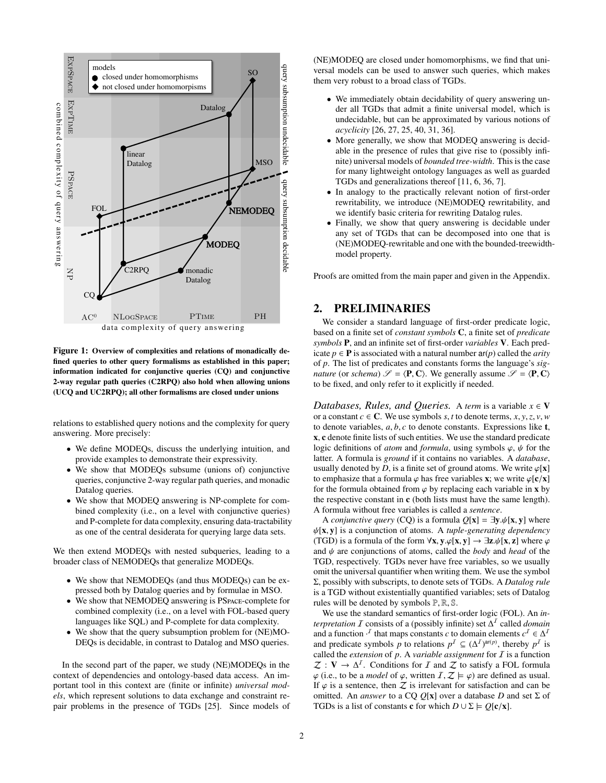

<span id="page-1-0"></span>Figure 1: Overview of complexities and relations of monadically defined queries to other query formalisms as established in this paper; information indicated for conjunctive queries (CQ) and conjunctive 2-way regular path queries (C2RPQ) also hold when allowing unions (UCQ and UC2RPQ); all other formalisms are closed under unions

relations to established query notions and the complexity for query answering. More precisely:

- We define MODEQs, discuss the underlying intuition, and provide examples to demonstrate their expressivity.
- We show that MODEQs subsume (unions of) conjunctive queries, conjunctive 2-way regular path queries, and monadic Datalog queries.
- We show that MODEQ answering is NP-complete for combined complexity (i.e., on a level with conjunctive queries) and P-complete for data complexity, ensuring data-tractability as one of the central desiderata for querying large data sets.

We then extend MODEQs with nested subqueries, leading to a broader class of NEMODEQs that generalize MODEQs.

- We show that NEMODEQs (and thus MODEQs) can be expressed both by Datalog queries and by formulae in MSO.
- We show that NEMODEQ answering is PSPACE-complete for combined complexity (i.e., on a level with FOL-based query languages like SQL) and P-complete for data complexity.
- We show that the query subsumption problem for (NE)MO-DEQs is decidable, in contrast to Datalog and MSO queries.

In the second part of the paper, we study (NE)MODEQs in the context of dependencies and ontology-based data access. An important tool in this context are (finite or infinite) *universal models*, which represent solutions to data exchange and constraint repair problems in the presence of TGDs [\[25\]](#page-11-12). Since models of (NE)MODEQ are closed under homomorphisms, we find that universal models can be used to answer such queries, which makes them very robust to a broad class of TGDs.

- We immediately obtain decidability of query answering under all TGDs that admit a finite universal model, which is undecidable, but can be approximated by various notions of *acyclicity* [\[26,](#page-11-13) [27,](#page-11-14) [25,](#page-11-12) [40,](#page-11-15) [31,](#page-11-16) [36\]](#page-11-17).
- More generally, we show that MODEQ answering is decidable in the presence of rules that give rise to (possibly infinite) universal models of *bounded tree-width*. This is the case for many lightweight ontology languages as well as guarded TGDs and generalizations thereof [\[11,](#page-11-18) [6,](#page-11-19) [36,](#page-11-17) [7\]](#page-11-20).
- In analogy to the practically relevant notion of first-order rewritability, we introduce (NE)MODEQ rewritability, and we identify basic criteria for rewriting Datalog rules.
- Finally, we show that query answering is decidable under any set of TGDs that can be decomposed into one that is (NE)MODEQ-rewritable and one with the bounded-treewidthmodel property.

Proofs are omitted from the main paper and given in the Appendix.

# <span id="page-1-1"></span>2. PRELIMINARIES

We consider a standard language of first-order predicate logic, based on a finite set of *constant symbols* C, a finite set of *predicate symbols* P, and an infinite set of first-order *variables* V. Each predicate  $p \in \mathbf{P}$  is associated with a natural number  $ar(p)$  called the *arity* of *p*. The list of predicates and constants forms the language's *signature* (or *schema*)  $\mathcal{S} = \langle P, C \rangle$ . We generally assume  $\mathcal{S} = \langle P, C \rangle$ to be fixed, and only refer to it explicitly if needed.

*Databases, Rules, and Queries.* A *term* is a variable  $x \in V$ or a constant  $c \in \mathbb{C}$ . We use symbols  $s, t$  to denote terms,  $x, y, z, v, w$ to denote variables, *<sup>a</sup>*, *<sup>b</sup>*, *<sup>c</sup>* to denote constants. Expressions like <sup>t</sup>, x, c denote finite lists of such entities. We use the standard predicate logic definitions of *atom* and *formula*, using symbols  $\varphi$ ,  $\psi$  for the latter. A formula is *ground* if it contains no variables. A *database*, usually denoted by *D*, is a finite set of ground atoms. We write  $\varphi$ [**x**] to emphasize that a formula  $\varphi$  has free variables x; we write  $\varphi[c/x]$ for the formula obtained from  $\varphi$  by replacing each variable in **x** by the respective constant in c (both lists must have the same length). A formula without free variables is called a *sentence*.

A *conjunctive query* (CQ) is a formula  $Q[x] = \exists y \psi[x, y]$  where ψ[x, <sup>y</sup>] is a conjunction of atoms. A *tuple-generating dependency* (TGD) is a formula of the form  $\forall x, y, \varphi[x, y] \rightarrow \exists z. \psi[x, z]$  where  $\varphi$ and ψ are conjunctions of atoms, called the *body* and *head* of the TGD, respectively. TGDs never have free variables, so we usually omit the universal quantifier when writing them. We use the symbol Σ, possibly with subscripts, to denote sets of TGDs. A *Datalog rule* is a TGD without existentially quantified variables; sets of Datalog rules will be denoted by symbols  $\mathbb{P}, \mathbb{R}, \mathbb{S}$ .

We use the standard semantics of first-order logic (FOL). An *interpretation*  $\overline{I}$  consists of a (possibly infinite) set  $\Delta^{I}$  called *domain* and a function  $\cdot^{\mathcal{I}}$  that maps constants *c* to domain elements  $c^{\mathcal{I}} \in \Delta^{\mathcal{I}}$ and predicate symbols *p* to relations  $p^{\textit{I}} \subseteq (\Delta^{\textit{I}})^{ar(p)}$ , thereby  $p^{\textit{I}}$  is called the *extension* of *p*. A *variable assignment* for I is a function  $\mathcal{Z}: V \to \Delta^I$ . Conditions for *I* and  $\mathcal{Z}$  to satisfy a FOL formula  $\varphi$  (i.e., to be a *model* of  $\varphi$ , written  $\mathcal{I}, \mathcal{Z} \models \varphi$ ) are defined as usual. If  $\varphi$  is a sentence, then  $\mathcal Z$  is irrelevant for satisfaction and can be omitted. An *answer* to a CQ  $Q[x]$  over a database *D* and set  $\Sigma$  of TGDs is a list of constants **c** for which  $D \cup \Sigma \models Q[\mathbf{c}/\mathbf{x}]$ .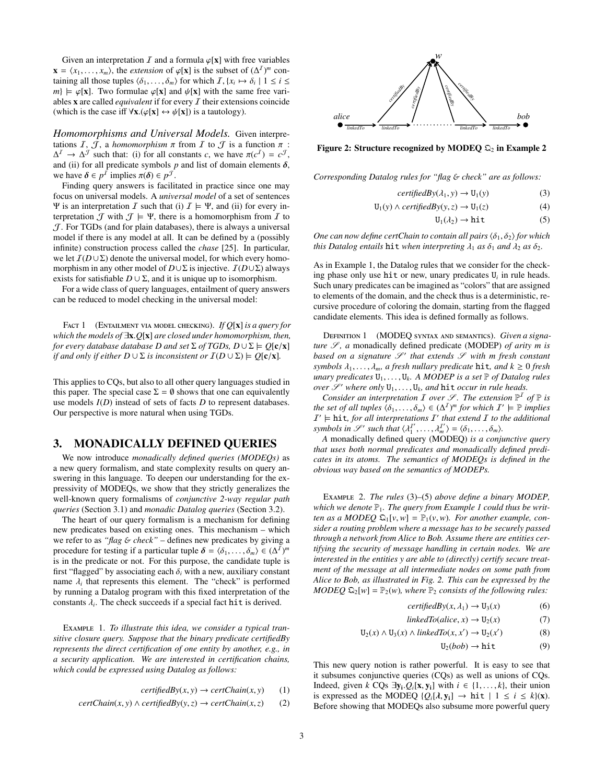Given an interpretation  $I$  and a formula  $\varphi[\mathbf{x}]$  with free variables  $\mathbf{x} = \langle x_1, \dots, x_m \rangle$ , the *extension* of  $\varphi[\mathbf{x}]$  is the subset of  $(\Delta^I)^m$  containing all those tuples  $\langle \delta, \dots, \delta \rangle$  for which  $\overline{L}$   $\{x, \dots, \delta, 1\}$   $\langle i \rangle$ taining all those tuples  $\langle \delta_1, \ldots, \delta_m \rangle$  for which  $I, \{x_i \mapsto \delta_i \mid 1 \le i \le m\} \vdash \varphi[\mathbf{x}]$ . Two formulae  $\varphi[\mathbf{x}]$  and  $\psi[\mathbf{x}]$  with the same free vari $m$   $\models \varphi[\mathbf{x}]$ . Two formulae  $\varphi[\mathbf{x}]$  and  $\psi[\mathbf{x}]$  with the same free variables  $x$  are called *equivalent* if for every  $I$  their extensions coincide (which is the case iff  $\forall$ **x**.( $\varphi$ [**x**]  $\leftrightarrow$   $\psi$ [**x**]) is a tautology).

*Homomorphisms and Universal Models.* Given interpretations  $I, J$ , a *homomorphism*  $\pi$  from  $I$  to  $J$  is a function  $\pi$ :  $\Delta^I \rightarrow \Delta^J$  such that: (i) for all constants *c*, we have  $\pi(c^I) = c^J$ , and (ii) for all predicate symbols *p* and list of domain elements  $\delta$ . and (ii) for all predicate symbols  $p$  and list of domain elements  $\delta$ , we have  $\delta \in p^I$  implies  $\pi(\delta) \in p^J$ .<br>Finding query answers is facility

Finding query answers is facilitated in practice since one may focus on universal models. A *universal model* of a set of sentences Ψ is an interpretation I such that (i)  $I \models \Psi$ , and (ii) for every interpretation  $\mathcal J$  with  $\mathcal J \models \Psi$ , there is a homomorphism from  $\mathcal I$  to  $J$ . For TGDs (and for plain databases), there is always a universal model if there is any model at all. It can be defined by a (possibly infinite) construction process called the *chase* [\[25\]](#page-11-12). In particular, we let  $I(D∪Σ)$  denote the universal model, for which every homomorphism in any other model of  $D \cup \Sigma$  is injective.  $\mathcal{I}(D \cup \Sigma)$  always exists for satisfiable  $D \cup \Sigma$ , and it is unique up to isomorphism.

For a wide class of query languages, entailment of query answers can be reduced to model checking in the universal model:

<span id="page-2-5"></span>Fact 1 (Entailment via model checking). *If Q*[x] *is a query for which the models of* <sup>∃</sup>x.*Q*[x] *are closed under homomorphism, then, for every database database D and set*  $\Sigma$  *of TGDs, D*  $\cup$   $\Sigma \models Q[c/x]$ *if and only if either*  $D \cup \Sigma$  *is inconsistent or*  $\mathcal{I}(D \cup \Sigma) \models O[\mathbf{c}/\mathbf{x}]$ *.* 

This applies to CQs, but also to all other query languages studied in this paper. The special case  $\Sigma = \emptyset$  shows that one can equivalently use models *I*(*D*) instead of sets of facts *D* to represent databases. Our perspective is more natural when using TGDs.

# 3. MONADICALLY DEFINED QUERIES

We now introduce *monadically defined queries (MODEQs)* as a new query formalism, and state complexity results on query answering in this language. To deepen our understanding for the expressivity of MODEQs, we show that they strictly generalizes the well-known query formalisms of *conjunctive 2-way regular path queries* (Section [3.1\)](#page-3-0) and *monadic Datalog queries* (Section [3.2\)](#page-3-1).

The heart of our query formalism is a mechanism for defining new predicates based on existing ones. This mechanism – which we refer to as "*flag* & *check*" – defines new predicates by giving a procedure for testing if a particular tuple  $\delta = \langle \delta_1, \ldots, \delta_m \rangle \in (\Delta^I)^m$ <br>is in the predicate or not. For this purpose, the candidate tuple is is in the predicate or not. For this purpose, the candidate tuple is first "flagged" by associating each  $\delta_i$  with a new, auxiliary constant name  $\lambda_i$  that represents this element. The "check" is performed<br>by running a Datalog program with this fixed interpretation of the by running a Datalog program with this fixed interpretation of the constants  $\lambda_i$ . The check succeeds if a special fact hit is derived.

<span id="page-2-1"></span>Example 1. *To illustrate this idea, we consider a typical transitive closure query. Suppose that the binary predicate certifiedBy represents the direct certification of one entity by another, e.g., in a security application. We are interested in certification chains, which could be expressed using Datalog as follows:*

$$
certifiedBy(x, y) \rightarrow certChain(x, y) \tag{1}
$$

$$
certChain(x, y) \land certifiedBy(y, z) \rightarrow certChain(x, z) \qquad (2)
$$



<span id="page-2-4"></span>*w Figure [2](#page-2-0): Structure recognized by MODEQ*  $\mathfrak{Q}_2$  *in Example 2* 

*certifiedBy certifiedBy Corresponding Datalog rules for "flag* & *check" are as follows:*

$$
certifiedBy(\lambda_1, y) \to U_1(y)
$$
(3)  
U(x)  $\land$  *artifiedBut*(x, z)  $\rightarrow$  U(x) (4)

$$
U_1(y) \wedge \text{certifiedBy}(y, z) \rightarrow U_1(z) \tag{4}
$$

<span id="page-2-3"></span><span id="page-2-2"></span>
$$
U_1(\lambda_2) \to hit \tag{5}
$$

*One can now define certChain to contain all pairs*  $\langle \delta_1, \delta_2 \rangle$  *for which this Datalog entails* **hit** *when interpreting*  $\lambda_1$  *as*  $\delta_1$  *and*  $\lambda_2$  *as*  $\delta_2$ *.* 

As in Example [1,](#page-2-1) the Datalog rules that we consider for the checking phase only use hit or new, unary predicates U*<sup>i</sup>* in rule heads. Such unary predicates can be imagined as "colors" that are assigned to elements of the domain, and the check thus is a deterministic, recursive procedure of coloring the domain, starting from the flagged candidate elements. This idea is defined formally as follows.

<span id="page-2-7"></span>Definition 1 (MODEQ syntax and semantics). *Given a signature*  $S$ , *a* monadically defined predicate (MODEP) *of arity m is* based on a signature  $\mathscr{S}'$  that extends  $\mathscr{S}$  with m fresh constant *symbols*  $\lambda_1, \ldots, \lambda_m$ *, a fresh nullary predicate* hit*, and*  $k \geq 0$  *fresh unary predicates*  $U_1, \ldots, U_k$ . *A MODEP is a set*  $\mathbb P$  *of Datalog rules*  $\alpha$  *over*  $\mathscr L'$  *where only*  $U_i$ . *III. and hit occur in rule heads over* S' where only  $U_1, \ldots, U_k$  and hit *occur in rule heads.*<br>Consider an interpretation I over S' The extension  $\mathbb{P}^I$ .

*Consider an interpretation*  $I$  *over*  $S$ *. The extension*  $\mathbb{P}^I$  *of*  $\mathbb{P}$  *is the set of all tuples*  $\{\delta_1, \ldots, \delta_m\} \in (\Delta^I)^m$  *for which*  $I' \models \mathbb{P}$  *implies*  $I' \models$  **hist** *for all interpretations*  $I'$  *that extend*  $I$  *to the additional*  $I' \models$  **hit**, for all interpretations  $I'$  that extend  $I$  to the additional *symbols in*  $\mathscr{S}'$  such that  $\langle \lambda_1^{T'}, \ldots, \lambda_m^{T'} \rangle = \langle \delta_1, \ldots, \delta_m \rangle$ .<br>
A monadically defined query (MODEO) is a conju

*A* monadically defined query (MODEQ) *is a conjunctive query that uses both normal predicates and monadically defined predicates in its atoms. The semantics of MODEQs is defined in the obvious way based on the semantics of MODEPs.*

<span id="page-2-0"></span>Example 2. *The rules* [\(3\)](#page-2-2)*–*[\(5\)](#page-2-3) *above define a binary MODEP,* which we denote  $\mathbb{P}_1$  $\mathbb{P}_1$ . The query from Example 1 could thus be writ*ten as a MODEQ*  $\mathfrak{Q}_1[v, w] = \mathbb{P}_1(v, w)$ *. For another example, consider a routing problem where a message has to be securely passed through a network from Alice to Bob. Assume there are entities certifying the security of message handling in certain nodes. We are interested in the entities y are able to (directly) certify secure treatment of the message at all intermediate nodes on some path from Alice to Bob, as illustrated in Fig. [2.](#page-2-4) This can be expressed by the MODEQ*  $\mathfrak{Q}_2[w] = \mathbb{P}_2(w)$ *, where*  $\mathbb{P}_2$  *consists of the following rules:* 

$$
certifiedBy(x, \lambda_1) \to U_3(x) \tag{6}
$$

$$
linkedTo(alice, x) \rightarrow U_2(x) \tag{7}
$$

$$
U_2(x) \wedge U_3(x) \wedge linkedTo(x, x') \rightarrow U_2(x')
$$
 (8)

<span id="page-2-6"></span> $U_2(bob) \rightarrow hit$  (9)

This new query notion is rather powerful. It is easy to see that it subsumes conjunctive queries (CQs) as well as unions of CQs. Indeed, given *k* CQs  $\exists y_i \cdot Q_i[x, y_i]$  with  $i \in \{1, ..., k\}$ , their union is expressed as the MODEO  $\{Q_i[x_i] \rightarrow \text{hit } | 1 \le i \le k \}$ is expressed as the MODEQ  $\{Q_i[\lambda, y_i] \rightarrow hit \mid 1 \le i \le k\}(x)$ . Before showing that MODEQs also subsume more powerful query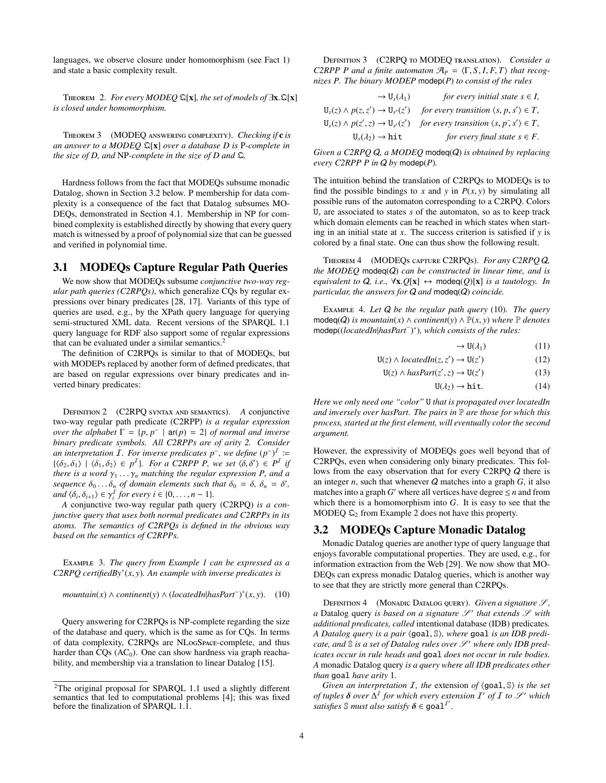<span id="page-3-5"></span>languages, we observe closure under homomorphism (see Fact [1\)](#page-2-5) and state a basic complexity result.

<sup>T</sup>heorem 2. *For every MODEQ* <sup>Q</sup>[x]*, the set of models of* <sup>∃</sup>x.Q[x] *is closed under homomorphism.*

<span id="page-3-4"></span>Theorem 3 (MODEQ answering complexity). *Checking if* c *is an answer to a MODEQ* Q[x] *over a database D is* P*-complete in the size of D, and* NP*-complete in the size of D and* Q*.*

Hardness follows from the fact that MODEQs subsume monadic Datalog, shown in Section [3.2](#page-3-1) below. P membership for data complexity is a consequence of the fact that Datalog subsumes MO-DEQs, demonstrated in Section [4.1.](#page-5-0) Membership in NP for combined complexity is established directly by showing that every query match is witnessed by a proof of polynomial size that can be guessed and verified in polynomial time.

# <span id="page-3-0"></span>3.1 MODEQs Capture Regular Path Queries

We now show that MODEQs subsume *conjunctive two-way regular path queries (C2RPQs)*, which generalize CQs by regular expressions over binary predicates [\[28,](#page-11-8) [17\]](#page-11-9). Variants of this type of queries are used, e.g., by the XPath query language for querying semi-structured XML data. Recent versions of the SPARQL 1.1 query language for RDF also support some of regular expressions that can be evaluated under a similar semantics.<sup>[2](#page-3-2)</sup>

The definition of C2RPQs is similar to that of MODEQs, but with MODEPs replaced by another form of defined predicates, that are based on regular expressions over binary predicates and inverted binary predicates:

Definition 2 (C2RPQ syntax and semantics). *A* conjunctive two-way regular path predicate (C2RPP) *is a regular expression over the alphabet*  $\Gamma = \{p, p^- \mid \text{ar}(p) = 2\}$  *of normal and inverse*<br>*binary predicate symbols*  $\Delta H$  *C*2RPPs are of arity 2. Consider *binary predicate symbols. All C2RPPs are of arity 2. Consider an interpretation*  $\overline{I}$ *. For inverse predicates*  $p^{-}$ *, we define*  $(p^{-})^{\overline{I}}$  :=  $\{\langle \delta_1, \delta_1 \rangle \mid \langle \delta_1, \delta_2 \rangle \in p^I\}$ . For a C2RPP P, we set  $\langle \delta, \delta' \rangle \in P^I$  if there is a word  $\gamma$ .  $\gamma$  matching the regular expression P and a *there is a word*  $\gamma_1 \ldots \gamma_n$  *matching the regular expression P, and a sequence*  $\delta_0 \dots \delta_n$  *of domain elements such that*  $\delta_0 = \delta$ ,  $\delta_n = \delta'$ , and  $(\delta_0 \delta_1) \in \gamma^I$  for every  $i \in \{0, n-1\}$  $and \langle \delta_i, \delta_{i+1} \rangle \in \gamma_i^I$  *for every i* ∈ {0, ..., *n* − 1}*.*<br> *A* conjunctive two-way regular path query

*A* conjunctive two-way regular path query (C2RPQ) *is a conjunctive query that uses both normal predicates and C2RPPs in its atoms. The semantics of C2RPQs is defined in the obvious way based on the semantics of C2RPPs.*

Example 3. *The query from Example [1](#page-2-1) can be expressed as a C2RPQ certifiedBy*<sup>∗</sup> (*x*, *<sup>y</sup>*)*. An example with inverse predicates is*

<span id="page-3-3"></span> $mountain(x) \wedge continent(y) \wedge (locatedIn|hasPart^-)^*(x, y).$  (10)

Query answering for C2RPQs is NP-complete regarding the size of the database and query, which is the same as for CQs. In terms of data complexity, C2RPQs are NLogSpace-complete, and thus harder than  $CQs$  ( $AC<sub>0</sub>$ ). One can show hardness via graph reachability, and membership via a translation to linear Datalog [\[15\]](#page-11-21).

Definition 3 (C2RPQ to MODEQ translation). *Consider a C2RPP P and a finite automaton*  $\mathcal{A}_P = \langle \Gamma, S, I, F, T \rangle$  *that recognizes P. The binary MODEP* modep(*P*) *to consist of the rules*

| $\rightarrow U_s(\lambda_1)$                    | for every initial state $s \in I$ ,                     |
|-------------------------------------------------|---------------------------------------------------------|
| $U_s(z) \wedge p(z, z') \rightarrow U_{s'}(z')$ | for every transition $\langle s, p, s' \rangle \in T$ , |
| $U_s(z) \wedge p(z', z) \rightarrow U_{s'}(z')$ | for every transition $\langle s, p, s' \rangle \in T$ , |
| $U_{s}(\lambda_{2}) \rightarrow hit$            | for every final state $s \in F$ .                       |
|                                                 |                                                         |

*Given a C2RPQ* Q*, a MODEQ* modeq(Q) *is obtained by replacing every C2RPP P in* Q *by* modep(*P*)*.*

The intuition behind the translation of C2RPQs to MODEQs is to find the possible bindings to *x* and *y* in  $P(x, y)$  by simulating all possible runs of the automaton corresponding to a C2RPQ. Colors U*<sup>s</sup>* are associated to states *s* of the automaton, so as to keep track which domain elements can be reached in which states when starting in an initial state at  $x$ . The success criterion is satisfied if  $y$  is colored by a final state. One can thus show the following result.

Theorem 4 (MODEQs capture C2RPQs). *For any C2RPQ* Q*, the MODEQ* modeq(Q) *can be constructed in linear time, and is equivalent to*  $Q$ *, i.e.,*  $\forall$ **x**. $Q$ [**x**]  $\leftrightarrow$  modeq( $Q$ )[**x**] *is a tautology. In particular, the answers for* Q *and* modeq(Q) *coincide.*

Example 4. *Let* Q *be the regular path query* [\(10\)](#page-3-3)*. The query* modeq( $Q$ ) *is mountain*(*x*) ∧ *continent*(*y*) ∧  $\mathbb{P}(x, y)$  *where*  $\mathbb{P}$  *denotes* modep((*locatedIn*|*hasPart*<sup>−</sup> ) ∗ )*, which consists of the rules:*

 $\rightarrow U(\lambda_1)$  (11)

$$
U(z) \wedge locatedIn(z, z') \rightarrow U(z')
$$
 (12)

$$
U(z) \wedge \text{hasPart}(z', z) \to U(z') \tag{13}
$$

 $U(\lambda_2) \rightarrow hit.$  (14)

*Here we only need one "color"* U *that is propagated over locatedIn and inversely over hasPart. The pairs in* P *are those for which this process, started at the first element, will eventually color the second argument.*

However, the expressivity of MODEQs goes well beyond that of C2RPQs, even when considering only binary predicates. This follows from the easy observation that for every C2RPQ Q there is an integer *n*, such that whenever  $Q$  matches into a graph  $G$ , it also matches into a graph *G*' where all vertices have degree  $\leq n$  and from which there is a homomorphism into *G*. It is easy to see that the MODEQ  $\mathfrak{Q}_2$  $\mathfrak{Q}_2$  from Example 2 does not have this property.

# <span id="page-3-1"></span>3.2 MODEQs Capture Monadic Datalog

Monadic Datalog queries are another type of query language that enjoys favorable computational properties. They are used, e.g., for information extraction from the Web [\[29\]](#page-11-23). We now show that MO-DEQs can express monadic Datalog queries, which is another way to see that they are strictly more general than C2RPQs.

DEFINITION 4 (MONADIC DATALOG QUERY). *Given a signature*  $\mathscr{S}$ *,* a Datalog query *is based on a signature*  $\mathscr{S}'$  that extends  $\mathscr{S}$  with *additional predicates, called* intentional database (IDB) predicates*. A Datalog query is a pair* (goal, S), where goal *is an IDB predicate, and*  $\mathcal S$  *is a set of Datalog rules over*  $\mathcal S'$  *where only IDB predicates occur in rule heads and* goal *does not occur in rule bodies. A* monadic Datalog query *is a query where all IDB predicates other than* goal *have arity* 1*.*

*Given an interpretation*  $I$ *, the extension of*  $\langle goal, \mathbb{S} \rangle$  *is the set of tuples*  $\delta$  *over*  $\Delta^I$  *for which every extension*  $I'$  *of*  $I$  *to*  $\mathscr{S}'$  *which satisfies*  $\Re$  *must also satisfy*  $\delta \in \text{goal}^{I'}$ *satisfies*  $\mathbb S$  *must also satisfy*  $\delta \in \text{goal}^{\mathcal I'}$ .

<span id="page-3-2"></span><sup>2</sup>The original proposal for SPARQL 1.1 used a slightly different semantics that led to computational problems [\[4\]](#page-11-22); this was fixed before the finalization of SPARQL 1.1.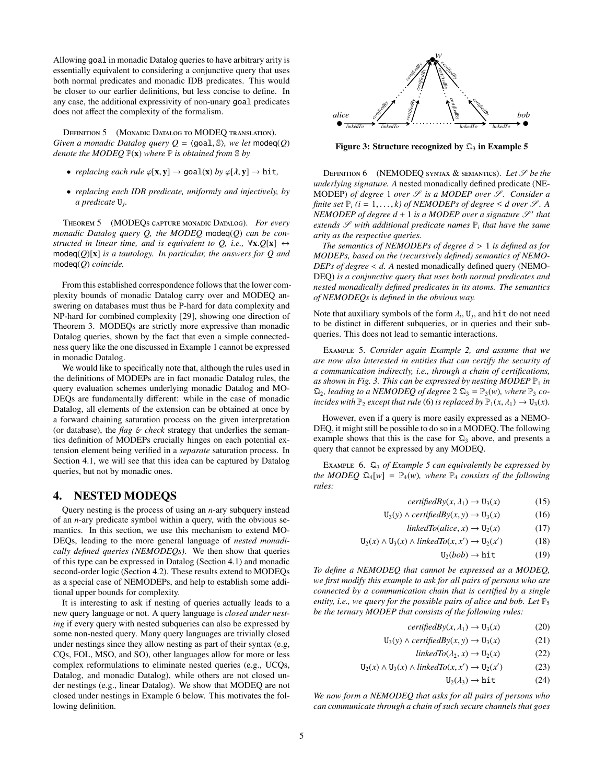Allowing goal in monadic Datalog queries to have arbitrary arity is essentially equivalent to considering a conjunctive query that uses both normal predicates and monadic IDB predicates. This would be closer to our earlier definitions, but less concise to define. In any case, the additional expressivity of non-unary goal predicates does not affect the complexity of the formalism.

DEFINITION 5 (MONADIC DATALOG TO MODEQ TRANSLATION). *Given a monadic Datalog query*  $Q = \{ \text{goal}, \mathbb{S} \}$ *, we let* modeq(*Q*) *denote the MODEQ* P(x) *where* P *is obtained from* S *by*

- *replacing each rule*  $\varphi$ [**x**, **y**]  $\rightarrow$  **goal**(**x**) *by*  $\varphi$ [*λ*, **y**]  $\rightarrow$  **hit**,
- *replacing each IDB predicate, uniformly and injectively, by a predicate* U*<sup>j</sup> .*

<span id="page-4-4"></span>Theorem 5 (MODEQs capture monadic Datalog). *For every monadic Datalog query Q, the MODEQ* modeq(*Q*) *can be constructed in linear time, and is equivalent to Q, i.e.,*  $\forall x.Q[x] \leftrightarrow$ modeq(*Q*)[x] *is a tautology. In particular, the answers for Q and* modeq(*Q*) *coincide.*

From this established correspondence follows that the lower complexity bounds of monadic Datalog carry over and MODEQ answering on databases must thus be P-hard for data complexity and NP-hard for combined complexity [\[29\]](#page-11-23), showing one direction of Theorem [3.](#page-3-4) MODEQs are strictly more expressive than monadic Datalog queries, shown by the fact that even a simple connectedness query like the one discussed in Example [1](#page-2-1) cannot be expressed in monadic Datalog.

We would like to specifically note that, although the rules used in the definitions of MODEPs are in fact monadic Datalog rules, the query evaluation schemes underlying monadic Datalog and MO-DEQs are fundamentally different: while in the case of monadic Datalog, all elements of the extension can be obtained at once by a forward chaining saturation process on the given interpretation (or database), the *flag* & *check* strategy that underlies the semantics definition of MODEPs crucially hinges on each potential extension element being verified in a *separate* saturation process. In Section [4.1,](#page-5-0) we will see that this idea can be captured by Datalog queries, but not by monadic ones.

#### 4. NESTED MODEQS

<span id="page-4-3"></span>Query nesting is the process of using an *n*-ary subquery instead of an *n*-ary predicate symbol within a query, with the obvious semantics. In this section, we use this mechanism to extend MO-DEQs, leading to the more general language of *nested monadically defined queries (NEMODEQs)*. We then show that queries of this type can be expressed in Datalog (Section [4.1\)](#page-5-0) and monadic second-order logic (Section [4.2\)](#page-5-1). These results extend to MODEQs as a special case of NEMODEPs, and help to establish some additional upper bounds for complexity.

It is interesting to ask if nesting of queries actually leads to a new query language or not. A query language is *closed under nesting* if every query with nested subqueries can also be expressed by some non-nested query. Many query languages are trivially closed under nestings since they allow nesting as part of their syntax (e.g, CQs, FOL, MSO, and SO), other languages allow for more or less complex reformulations to eliminate nested queries (e.g., UCQs, Datalog, and monadic Datalog), while others are not closed under nestings (e.g., linear Datalog). We show that MODEQ are not closed under nestings in Example [6](#page-4-0) below. This motivates the fol-Allowing goal in monadic Datalog queries to have arbitrary arity is<br>essentially equivalent to considering a conjunctive query that uses<br>both normal predictates and monalic DBB predictates. This would<br>be shown to dot ratif



<span id="page-4-2"></span>Figure 3: Structure recognized by  $\mathfrak{Q}_3$  in Example [5](#page-4-1)

DEFINITION 6 (NEMODEQ SYNTAX & SEMANTICS). Let  $\mathscr S$  be the *underlying signature. A* nested monadically defined predicate (NE-MODEP) *of degree* 1 *over*  $S$  *is a MODEP over*  $S$ *. Consider a finite set*  $\mathbb{P}_i$  (*i* = 1, ..., *k*) of NEMODEPs of degree  $\leq$  d over  $\mathcal{S}$ . A  $NEMODEP$  of degree  $d + 1$  is a MODEP over a signature  $\mathscr{S}'$  that  $extends$   $\mathscr S$  with additional predicate names  $\mathbb P_i$  that have the same *arity as the respective queries.*

*The semantics of NEMODEPs of degree d* > <sup>1</sup> *is defined as for MODEPs, based on the (recursively defined) semantics of NEMO-DEPs of degree* < *d. A* nested monadically defined query (NEMO-DEQ) *is a conjunctive query that uses both normal predicates and nested monadically defined predicates in its atoms. The semantics of NEMODEQs is defined in the obvious way.*

Note that auxiliary symbols of the form  $\lambda_i$ ,  $U_j$ , and hit do not need to be distinct in different subgress or in queries and their subto be distinct in different subqueries, or in queries and their subqueries. This does not lead to semantic interactions.

<span id="page-4-1"></span>Example 5. *Consider again Example [2,](#page-2-0) and assume that we are now also interested in entities that can certify the security of a communication indirectly, i.e., through a chain of certifications,* as shown in Fig. [3.](#page-4-2) This can be expressed by nesting MODEP  $\mathbb{P}_1$  in  $\mathfrak{Q}_2$ *, leading to a NEMODEQ of degree*  $2 \mathfrak{Q}_3 = \mathbb{P}_3(w)$ *, where*  $\mathbb{P}_3$  *coincides with*  $\mathbb{P}_2$  *except that rule* [\(6\)](#page-2-6) *is replaced by*  $\mathbb{P}_1(x, \lambda_1) \to U_3(x)$ *.* 

However, even if a query is more easily expressed as a NEMO-DEQ, it might still be possible to do so in a MODEQ. The following example shows that this is the case for  $\mathfrak{Q}_3$  above, and presents a query that cannot be expressed by any MODEQ.

<span id="page-4-0"></span>Example 6. Q<sup>3</sup> *of Example [5](#page-4-1) can equivalently be expressed by the MODEQ*  $\mathfrak{Q}_4[w] = \mathbb{P}_4(w)$ *, where*  $\mathbb{P}_4$  *consists of the following rules:*

$$
certifiedBy(x, \lambda_1) \to U_3(x) \tag{15}
$$

U<sub>3</sub>(*y*) ∧ *certifiedBy*(*x*, *y*) → U<sub>3</sub>(*x*) (16)

 $linkedTo(alice, x) \rightarrow U_2(x)$  (17)

 $U_2(x) \wedge U_3(x) \wedge *linkedTo*(*x*, *x*') \rightarrow U_2(x')$ ) (18)

 $U_2(bob) \rightarrow hit$  (19)

*To define a NEMODEQ that cannot be expressed as a MODEQ, we first modify this example to ask for all pairs of persons who are connected by a communication chain that is certified by a single entity, i.e., we query for the possible pairs of alice and bob. Let*  $\mathbb{P}_5$ *be the ternary MODEP that consists of the following rules:*

$$
certifiedBy(x, \lambda_1) \to U_3(x) \tag{20}
$$

$$
U_3(y) \wedge \text{certifiedBy}(x, y) \rightarrow U_3(x) \tag{21}
$$

- $linkedTo(\lambda_2, x) \rightarrow U_2(x)$  (22)
- $U_2(x) \wedge U_3(x) \wedge linkedTo(x, x') \rightarrow U_2(x')$ ) (23)
	- $U_2(\lambda_3) \rightarrow hit$  (24)

*We now form a NEMODEQ that asks for all pairs of persons who can communicate through a chain of such secure channels that goes*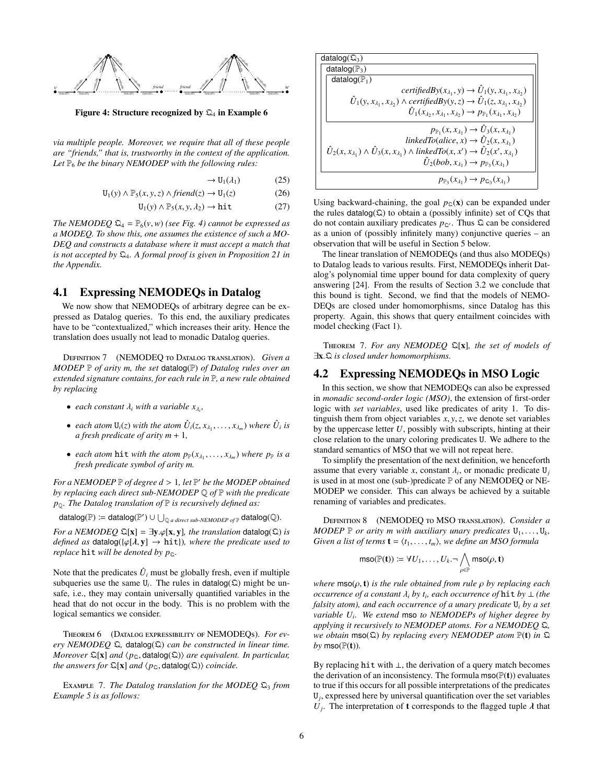

<span id="page-5-2"></span>Figure 4: Structure recognized by  $\mathfrak{Q}_4$  in Example [6](#page-4-0)

*via multiple people. Moreover, we require that all of these people are "friends," that is, trustworthy in the context of the application.* Let  $\mathbb{P}_6$  *be the binary NEMODEP with the following rules:* 

$$
\rightarrow U_1(\lambda_1) \tag{25}
$$

 $U_1(y) \wedge \mathbb{P}_5(x, y, z) \wedge friend(z) \rightarrow U_1(z)$  (26)<br>  $U_1(y) \wedge \mathbb{P}_5(x, y, \lambda_2) \rightarrow hit$  (27)

 $U_1(y) \wedge P_5(x, y, \lambda_2) \rightarrow hit$ 

*The NEMODEQ*  $\mathfrak{Q}_4 = \mathbb{P}_6(v, w)$  *(see Fig. [4\)](#page-5-2) cannot be expressed as a MODEQ. To show this, one assumes the existence of such a MO-DEQ and constructs a database where it must accept a match that is not accepted by* Q4*. A formal proof is given in Proposition [21](#page-12-0) in the Appendix.*

# <span id="page-5-0"></span>4.1 Expressing NEMODEQs in Datalog

We now show that NEMODEQs of arbitrary degree can be expressed as Datalog queries. To this end, the auxiliary predicates have to be "contextualized," which increases their arity. Hence the translation does usually not lead to monadic Datalog queries.

<span id="page-5-3"></span>Definition 7 (NEMODEQ to Datalog translation). *Given a MODEP* P *of arity m, the set* datalog(P) *of Datalog rules over an extended signature contains, for each rule in* P*, a new rule obtained by replacing*

- *each constant*  $\lambda_i$  *with a variable*  $x_{\lambda_i}$ *,*
- *each atom*  $U_i(z)$  *with the atom*  $\hat{U}_i(z, x_{\lambda_1}, \dots, x_{\lambda_m})$  *where*  $\hat{U}_i$  *is a fresh predicate of arity*  $m + 1$ *a fresh predicate of arity m* + 1*,*
- *each atom* hit *with the atom*  $p_{\mathbb{P}}(x_{\lambda_1},...,x_{\lambda_m})$  *where*  $p_{\mathbb{P}}$  *is a*<br>*fresh predicate symbol of arity m fresh predicate symbol of arity m.*

*For a NEMODEP*  $\mathbb P$  *of degree d* > 1, *let*  $\mathbb P'$  *be the MODEP obtained* by *replacing each direct sub-NEMODEP*  $\mathbb O$  *of*  $\mathbb P$  with the predicate *by replacing each direct sub-NEMODEP* Q *of* P *with the predicate p*Q*. The Datalog translation of* P *is recursively defined as:*

 $\text{datalog}(\mathbb{P}) := \text{datalog}(\mathbb{P}') \cup \bigcup_{\mathbb{Q} \text{ a direct sub-NEMODE}} \text{optp} \text{datalog}(\mathbb{Q}).$ 

*For a NEMODEQ*  $\mathfrak{Q}[\mathbf{x}] = \exists \mathbf{y} . \varphi[\mathbf{x}, \mathbf{y}]$ *, the translation* datalog $(\mathfrak{Q})$  *is defined as* datalog({ $\varphi$ [ $\lambda$ ,  $y$ ]  $\rightarrow$  hit}), where the predicate used to *replace* **hit** *will be denoted by*  $p_{\mathcal{Q}}$ *.* 

Note that the predicates  $\hat{U}_i$  must be globally fresh, even if multiple subqueries use the same  $U_i$ . The rules in datalog( $\Omega$ ) might be unsafe, i.e., they may contain universally quantified variables in the head that do not occur in the body. This is no problem with the logical semantics we consider.

<span id="page-5-5"></span>Theorem 6 (Datalog expressibility of NEMODEQs). *For every NEMODEQ* Q*,* datalog(Q) *can be constructed in linear time. Moreover*  $\mathbb{Q}[\mathbf{x}]$  *and*  $\langle p_{\mathbb{Q}}, \text{datalog}(\mathbb{Q}) \rangle$  *are equivalent. In particular, the answers for*  $\mathfrak{D}[x]$  *and*  $\langle p_{\mathfrak{D}}$ , datalog( $\mathfrak{D}$ )) *coincide.* 

Example 7. *The Datalog translation for the MODEQ* Q<sup>3</sup> *from Example [5](#page-4-1) is as follows:*

| datalog( $\mathfrak{Q}_3$ )                                                                                                         |
|-------------------------------------------------------------------------------------------------------------------------------------|
| datalog( $\mathbb{P}_3$ )                                                                                                           |
| datalog( $\mathbb{P}_1$ )                                                                                                           |
| certifiedBy( $x_{\lambda_1}, y$ ) $\rightarrow \hat{U}_1(y, x_{\lambda_1}, x_{\lambda_2})$                                          |
| $\hat{U}_1(y, x_{\lambda_1}, x_{\lambda_2}) \wedge \text{certifiedBy}(y, z) \rightarrow \hat{U}_1(z, x_{\lambda_1}, x_{\lambda_2})$ |
| $\hat{U}_1(x_{\lambda_2},x_{\lambda_1},x_{\lambda_2}) \rightarrow p_{\mathbb{P}_1}(x_{\lambda_1},x_{\lambda_2})$                    |
| $p_{\mathbb{P}_1}(x, x_{\lambda_1}) \rightarrow \hat{U}_3(x, x_{\lambda_1})$                                                        |
| linkedTo(alice, x) $\rightarrow \hat{U}_2(x, x_{\lambda_1})$                                                                        |
| $\hat{U}_2(x, x_{\lambda_1}) \wedge \hat{U}_3(x, x_{\lambda_1}) \wedge linkedTo(x, x') \rightarrow \hat{U}_2(x', x_{\lambda_1})$    |
| $\hat{U}_2(bob, x_{\lambda_1}) \rightarrow p_{\mathbb{P}_3}(x_{\lambda_1})$                                                         |
| $p_{\mathbb{P}_2}(x_{\lambda_1}) \to p_{\mathbb{Q}_3}(x_{\lambda_1})$                                                               |

Using backward-chaining, the goal  $p_\text{Q}(x)$  can be expanded under the rules datalog $(\Omega)$  to obtain a (possibly infinite) set of CQs that do not contain auxiliary predicates  $p_{\mathcal{Q}}$ . Thus  $\mathfrak{Q}$  can be considered as a union of (possibly infinitely many) conjunctive queries – an observation that will be useful in Section [5](#page-6-0) below.

The linear translation of NEMODEQs (and thus also MODEQs) to Datalog leads to various results. First, NEMODEQs inherit Datalog's polynomial time upper bound for data complexity of query answering [\[24\]](#page-11-4). From the results of Section [3.2](#page-3-1) we conclude that this bound is tight. Second, we find that the models of NEMO-DEQs are closed under homomorphisms, since Datalog has this property. Again, this shows that query entailment coincides with model checking (Fact [1\)](#page-2-5).

<span id="page-5-4"></span>Theorem 7. *For any NEMODEQ* Q[x]*, the set of models of* <sup>∃</sup>x.<sup>Q</sup> *is closed under homomorphisms.*

# <span id="page-5-1"></span>4.2 Expressing NEMODEQs in MSO Logic

In this section, we show that NEMODEQs can also be expressed in *monadic second-order logic (MSO)*, the extension of first-order logic with *set variables*, used like predicates of arity 1. To distinguish them from object variables  $x, y, z$ , we denote set variables by the uppercase letter *U*, possibly with subscripts, hinting at their close relation to the unary coloring predicates U. We adhere to the standard semantics of MSO that we will not repeat here.

To simplify the presentation of the next definition, we henceforth assume that every variable *x*, constant  $\lambda_i$ , or monadic predicate  $U_j$ <br>is used in at most one (sub-)predicate  $\mathbb{P}$  of any NEMODEO or NE is used in at most one (sub-)predicate P of any NEMODEQ or NE-MODEP we consider. This can always be achieved by a suitable renaming of variables and predicates.

Definition 8 (NEMODEQ to MSO translation). *Consider a MODEP*  $\mathbb{P}$  *or arity m with auxiliary unary predicates*  $U_1, \ldots, U_k$ , *Given a list of terms*  $\mathbf{t} = (t_1, \ldots, t_k)$ , we define an MSO formula *Given a list of terms*  $\mathbf{t} = \langle t_1, \ldots, t_m \rangle$ , we define an MSO formula

$$
\mathsf{mso}(\mathbb{P}(\mathbf{t})) \coloneqq \forall U_1, \dots, U_k. \neg \bigwedge_{\rho \in \mathbb{P}} \mathsf{mso}(\rho, \mathbf{t})
$$

*where* mso(ρ, <sup>t</sup>) *is the rule obtained from rule* ρ *by replacing each occurrence of a constant*  $\lambda_i$  *by*  $t_i$ , each occurrence of **hit** *by* ⊥ *(the* falsity atom), and each occurrence of a unary predicate U. by a set *falsity atom), and each occurrence of a unary predicate* U*<sup>i</sup> by a set variable U<sup>i</sup> . We extend* mso *to NEMODEPs of higher degree by applying it recursively to NEMODEP atoms. For a NEMODEQ* Q*, we obtain* mso(Q) *by replacing every NEMODEP atom* P(t) *in* Q  $by$  mso( $\mathbb{P}(\mathbf{t})$ ).

By replacing hit with ⊥, the derivation of a query match becomes the derivation of an inconsistency. The formula  $\text{mso}(\mathbb{P}(\mathbf{t}))$  evaluates to true if this occurs for all possible interpretations of the predicates  $U_j$ , expressed here by universal quantification over the set variables *U<sub>j</sub>*. The interpretation of **t** corresponds to the flagged tuple  $\lambda$  that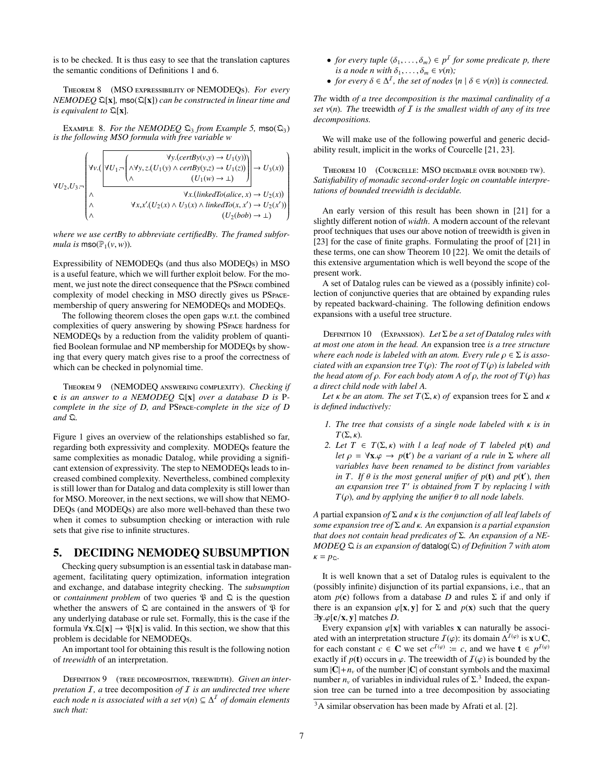is to be checked. It is thus easy to see that the translation captures the semantic conditions of Definitions [1](#page-2-7) and [6.](#page-4-3)

<span id="page-6-3"></span>Theorem 8 (MSO expressibility of NEMODEQs). *For every NEMODEQ* Q[x]*,* mso(Q[x]) *can be constructed in linear time and is equivalent to* Q[x]*.*

EXAMPLE 8. *For the NEMODEQ*  $\mathfrak{Q}_3$  *from Example* [5,](#page-4-1) mso $(\mathfrak{Q}_3)$ *is the following MSO formula with free variable w*

$$
\forall U_2, U_3.\neg\n\begin{pmatrix}\n\forall y. (certBy(v,y) \rightarrow U_1(y)) \\
\forall U_2, U_3.\neg\n\end{pmatrix}\n\rightarrow U_1 \neg\n\begin{pmatrix}\n\forall y. (certBy(v,z) \rightarrow U_1(z)) \\
\land & (U_1(w) \rightarrow \bot)\n\end{pmatrix}\n\rightarrow U_3(x)\n\begin{pmatrix}\n\forall x. (linkedTo(alice, x) \rightarrow U_2(x) \\
\land & \forall x. x'. (U_2(x) \land U_3(x) \land linkedTo(x, x') \rightarrow U_2(x')) \\
\land & (U_2(bob) \rightarrow \bot)\n\end{pmatrix}
$$

*where we use certBy to abbreviate certifiedBy. The framed subformula is*  $\text{mso}(\mathbb{P}_1(\nu, w))$ *.* 

Expressibility of NEMODEQs (and thus also MODEQs) in MSO is a useful feature, which we will further exploit below. For the moment, we just note the direct consequence that the PSpace combined complexity of model checking in MSO directly gives us PSpacemembership of query answering for NEMODEQs and MODEQs.

The following theorem closes the open gaps w.r.t. the combined complexities of query answering by showing PSpace hardness for NEMODEQs by a reduction from the validity problem of quantified Boolean formulae and NP membership for MODEQs by showing that every query match gives rise to a proof the correctness of which can be checked in polynomial time.

Theorem 9 (NEMODEQ answering complexity). *Checking if* c *is an answer to a NEMODEQ* Q[x] *over a database D is* P*complete in the size of D, and* PSpace*-complete in the size of D and* Q*.*

Figure [1](#page-1-0) gives an overview of the relationships established so far, regarding both expressivity and complexity. MODEQs feature the same complexities as monadic Datalog, while providing a significant extension of expressivity. The step to NEMODEQs leads to increased combined complexity. Nevertheless, combined complexity is still lower than for Datalog and data complexity is still lower than for MSO. Moreover, in the next sections, we will show that NEMO-DEQs (and MODEQs) are also more well-behaved than these two when it comes to subsumption checking or interaction with rule sets that give rise to infinite structures.

# <span id="page-6-0"></span>5. DECIDING NEMODEQ SUBSUMPTION

Checking query subsumption is an essential task in database management, facilitating query optimization, information integration and exchange, and database integrity checking. The *subsumption* or *containment problem* of two queries  $\mathcal{P}$  and  $\mathcal{Q}$  is the question whether the answers of  $\Omega$  are contained in the answers of  $\mathfrak P$  for any underlying database or rule set. Formally, this is the case if the formula  $\forall x. \mathbb{Q}[x] \rightarrow \mathcal{P}[x]$  is valid. In this section, we show that this problem is decidable for NEMODEQs.

An important tool for obtaining this result is the following notion of *treewidth* of an interpretation.

DEFINITION 9 (TREE DECOMPOSITION, TREEWIDTH). *Given an interpretation* I*, a* tree decomposition *of* I *is an undirected tree where each node n is associated with a set*  $ν$ (*n*) ⊆  $Δ<sup>T</sup>$  *of domain elements* such that: *such that:*

- *for every tuple*  $\langle \delta_1, \ldots, \delta_m \rangle \in p^I$  *for some predicate p, there*<br>*is a node n with*  $\delta_i = \delta_i \in v(n)$ . *is a node n with*  $\delta_1, \ldots, \delta_m \in \nu(n)$ *;*
- *for every*  $\delta \in \Delta^I$ , *the set of nodes*  $\{n \mid \delta \in v(n)\}$  *is connected.*

*The* width *of a tree decomposition is the maximal cardinality of a set* ν(*n*)*. The* treewidth *of* <sup>I</sup> *is the smallest width of any of its tree decompositions.*

We will make use of the following powerful and generic decidability result, implicit in the works of Courcelle [\[21,](#page-11-24) [23\]](#page-11-25).

<span id="page-6-1"></span>Theorem 10 (Courcelle: MSO decidable over bounded tw). *Satisfiability of monadic second-order logic on countable interpretations of bounded treewidth is decidable.*

An early version of this result has been shown in [\[21\]](#page-11-24) for a slightly different notion of *width*. A modern account of the relevant proof techniques that uses our above notion of treewidth is given in [\[23\]](#page-11-25) for the case of finite graphs. Formulating the proof of [\[21\]](#page-11-24) in these terms, one can show Theorem [10](#page-6-1) [\[22\]](#page-11-26). We omit the details of this extensive argumentation which is well beyond the scope of the present work.

A set of Datalog rules can be viewed as a (possibly infinite) collection of conjunctive queries that are obtained by expanding rules by repeated backward-chaining. The following definition endows expansions with a useful tree structure.

Definition 10 (Expansion). *Let* Σ *be a set of Datalog rules with at most one atom in the head. An* expansion tree *is a tree structure where each node is labeled with an atom. Every rule*  $\rho \in \Sigma$  *is associated with an expansion tree T*(ρ)*: The root of T*(ρ) *is labeled with the head atom of* ρ*. For each body atom A of* ρ*, the root of T*(ρ) *has a direct child node with label A.*

*Let*  $\kappa$  *be an atom. The set*  $T(\Sigma, \kappa)$  *of* expansion trees for  $\Sigma$  and  $\kappa$ *is defined inductively:*

- *1. The tree that consists of a single node labeled with* κ *is in*  $T(\Sigma, \kappa)$ .
- *2. Let*  $T \in T(\Sigma, \kappa)$  *with l a leaf node of*  $T$  *labeled p*(**t**) *and let*  $\rho = \forall \mathbf{x} . \varphi \rightarrow p(\mathbf{t}')$  *be a variant of a rule in*  $\Sigma$  *where all wariables have been renamed to be distinct from variables variables have been renamed to be distinct from variables in T. If*  $\theta$  *is the most general unifier of p*(**t**) *and p*(**t**')*, then an expansion tree T' is obtained from T by replacing l with an expansion tree T*<sup>0</sup> *is obtained from T by replacing l with <sup>T</sup>*(ρ)*, and by applying the unifier* θ *to all node labels.*

*<sup>A</sup>* partial expansion *of* <sup>Σ</sup> *and* κ *is the conjunction of all leaf labels of some expansion tree of* <sup>Σ</sup> *and* κ*. An* expansion *is a partial expansion that does not contain head predicates of* Σ*. An expansion of a NE-MODEQ* Q *is an expansion of* datalog(Q) *of Definition [7](#page-5-3) with atom*  $\kappa = p_{\Omega}$ .

It is well known that a set of Datalog rules is equivalent to the (possibly infinite) disjunction of its partial expansions, i.e., that an atom  $p(c)$  follows from a database *D* and rules  $\Sigma$  if and only if there is an expansion  $\varphi$ [**x**, **y**] for  $\Sigma$  and  $p(x)$  such that the query <sup>∃</sup>y.ϕ[c/x, <sup>y</sup>] matches *<sup>D</sup>*.

Every expansion  $\varphi[x]$  with variables x can naturally be associated with an interpretation structure  $\mathcal{I}(\varphi)$ : its domain  $\Delta^{\mathcal{I}(\varphi)}$  is  $\mathbf{x} \cup \mathbf{C}$ ,<br>for each constant  $c \in \mathbf{C}$  we set  $c^{\mathcal{I}(\varphi)} = c$  and we have  $\mathbf{t} \in n^{\mathcal{I}(\varphi)}$ for each constant  $c \in \mathbb{C}$  we set  $c^{I(\varphi)} := c$ , and we have  $\mathbf{t} \in p^{I(\varphi)}$ exactly if  $p(t)$  occurs in  $\varphi$ . The treewidth of  $\mathcal{I}(\varphi)$  is bounded by the sum  $|C| + n_v$  of the number  $|C|$  of constant symbols and the maximal number  $n_v$  of variables in individual rules of  $\Sigma$ <sup>[3](#page-6-2)</sup>. Indeed, the expansion tree can be turned into a tree decomposition by associating

<span id="page-6-2"></span><sup>3</sup>A similar observation has been made by Afrati et al. [\[2\]](#page-11-27).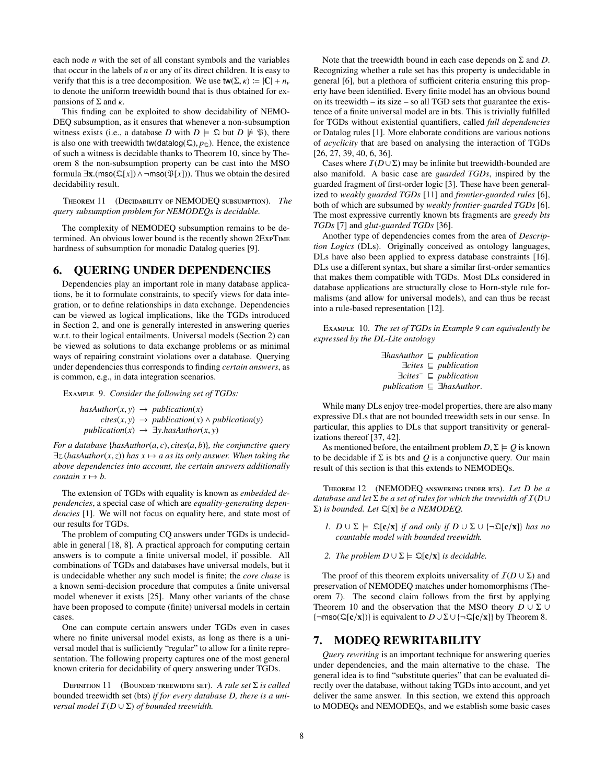each node *n* with the set of all constant symbols and the variables that occur in the labels of *n* or any of its direct children. It is easy to verify that this is a tree decomposition. We use  $\text{tw}(\Sigma, \kappa) := |\mathbf{C}| + n_v$ to denote the uniform treewidth bound that is thus obtained for expansions of Σ and  $κ$ .

This finding can be exploited to show decidability of NEMO-DEQ subsumption, as it ensures that whenever a non-subsumption witness exists (i.e., a database *D* with  $D \models \mathcal{Q}$  but  $D \not\models \mathcal{P}$ ), there is also one with treewidth tw(datalog( $\Omega$ ),  $p_{\Omega}$ ). Hence, the existence of such a witness is decidable thanks to Theorem [10,](#page-6-1) since by Theorem [8](#page-6-3) the non-subsumption property can be cast into the MSO formula  $\exists$ **x**.(mso( $\mathcal{Q}[x]$ ) ∧ ¬mso( $\mathcal{P}[x]$ )). Thus we obtain the desired decidability result.

Theorem 11 (Decidability of NEMODEQ subsumption). *The query subsumption problem for NEMODEQs is decidable.*

The complexity of NEMODEQ subsumption remains to be determined. An obvious lower bound is the recently shown 2ExpTime hardness of subsumption for monadic Datalog queries [\[9\]](#page-11-28).

#### <span id="page-7-1"></span>6. QUERING UNDER DEPENDENCIES

Dependencies play an important role in many database applications, be it to formulate constraints, to specify views for data integration, or to define relationships in data exchange. Dependencies can be viewed as logical implications, like the TGDs introduced in Section [2,](#page-1-1) and one is generally interested in answering queries w.r.t. to their logical entailments. Universal models (Section [2\)](#page-1-1) can be viewed as solutions to data exchange problems or as minimal ways of repairing constraint violations over a database. Querying under dependencies thus corresponds to finding *certain answers*, as is common, e.g., in data integration scenarios.

<span id="page-7-0"></span>Example 9. *Consider the following set of TGDs:*

 $hasAuthor(x, y) \rightarrow publication(x)$  $cites(x, y) \rightarrow publication(x) \land publication(y)$  $publication(x) \rightarrow \exists y. hasAuthor(x, y)$ 

*For a database* {*hasAuthor*(*a*, *<sup>c</sup>*), *cites*(*a*, *<sup>b</sup>*)}*, the conjunctive query*  $\exists z. (hasAuthor(x, z))$  has  $x \mapsto a$  as its only answer. When taking the *above dependencies into account, the certain answers additionally contain*  $x \mapsto b$ .

The extension of TGDs with equality is known as *embedded dependencies*, a special case of which are *equality-generating dependencies* [\[1\]](#page-10-0). We will not focus on equality here, and state most of our results for TGDs.

The problem of computing CQ answers under TGDs is undecidable in general [\[18,](#page-11-29) [8\]](#page-11-30). A practical approach for computing certain answers is to compute a finite universal model, if possible. All combinations of TGDs and databases have universal models, but it is undecidable whether any such model is finite; the *core chase* is a known semi-decision procedure that computes a finite universal model whenever it exists [\[25\]](#page-11-12). Many other variants of the chase have been proposed to compute (finite) universal models in certain cases.

One can compute certain answers under TGDs even in cases where no finite universal model exists, as long as there is a universal model that is sufficiently "regular" to allow for a finite representation. The following property captures one of the most general known criteria for decidability of query answering under TGDs.

Definition 11 (Bounded treewidth set). *A rule set* Σ *is called* bounded treewidth set (bts) *if for every database D, there is a universal model*  $I(D \cup \Sigma)$  *of bounded treewidth.* 

Note that the treewidth bound in each case depends on Σ and *D*. Recognizing whether a rule set has this property is undecidable in general [\[6\]](#page-11-19), but a plethora of sufficient criteria ensuring this property have been identified. Every finite model has an obvious bound on its treewidth – its size – so all TGD sets that guarantee the existence of a finite universal model are in bts. This is trivially fulfilled for TGDs without existential quantifiers, called *full dependencies* or Datalog rules [\[1\]](#page-10-0). More elaborate conditions are various notions of *acyclicity* that are based on analysing the interaction of TGDs [\[26,](#page-11-13) [27,](#page-11-14) [39,](#page-11-31) [40,](#page-11-15) [6,](#page-11-19) [36\]](#page-11-17).

Cases where  $I(D \cup \Sigma)$  may be infinite but treewidth-bounded are also manifold. A basic case are *guarded TGDs*, inspired by the guarded fragment of first-order logic [\[3\]](#page-11-32). These have been generalized to *weakly guarded TGDs* [\[11\]](#page-11-18) and *frontier-guarded rules* [\[6\]](#page-11-19), both of which are subsumed by *weakly frontier-guarded TGDs* [\[6\]](#page-11-19). The most expressive currently known bts fragments are *greedy bts TGDs* [\[7\]](#page-11-20) and *glut-guarded TGDs* [\[36\]](#page-11-17).

Another type of dependencies comes from the area of *Description Logics* (DLs). Originally conceived as ontology languages, DLs have also been applied to express database constraints [\[16\]](#page-11-33). DLs use a different syntax, but share a similar first-order semantics that makes them compatible with TGDs. Most DLs considered in database applications are structurally close to Horn-style rule formalisms (and allow for universal models), and can thus be recast into a rule-based representation [\[12\]](#page-11-34).

Example 10. *The set of TGDs in Example [9](#page-7-0) can equivalently be expressed by the DL-Lite ontology*

| $\exists$ hasAuthor $\sqsubseteq$ publication |                                           |
|-----------------------------------------------|-------------------------------------------|
|                                               | $\exists cites \sqsubseteq publication$   |
|                                               | $\exists cites^- \sqsubseteq publication$ |
|                                               | publication $\subseteq$ 3hasAuthor.       |
|                                               |                                           |

While many DLs enjoy tree-model properties, there are also many expressive DLs that are not bounded treewidth sets in our sense. In particular, this applies to DLs that support transitivity or generalizations thereof [\[37,](#page-11-35) [42\]](#page-11-36).

As mentioned before, the entailment problem  $D, \Sigma \models Q$  is known to be decidable if  $\Sigma$  is bts and  $Q$  is a conjunctive query. Our main result of this section is that this extends to NEMODEQs.

<span id="page-7-2"></span>Theorem 12 (NEMODEQ answering under bts). *Let D be a database and let* Σ *be a set of rules for which the treewidth of* I(*D*∪ Σ) *is bounded. Let* Q[x] *be a NEMODEQ.*

- *I.*  $D \cup \Sigma$   $\models \mathfrak{Q}[\mathbf{c}/\mathbf{x}]$  *if and only if*  $D \cup \Sigma \cup \{\neg \mathfrak{Q}[\mathbf{c}/\mathbf{x}]\}$  *has no countable model with bounded treewidth.*
- *2. The problem*  $D \cup \Sigma \models \mathbb{Q}[\mathbf{c}/\mathbf{x}]$  *is decidable.*

The proof of this theorem exploits universality of  $I(D \cup \Sigma)$  and preservation of NEMODEQ matches under homomorphisms (Theorem [7\)](#page-5-4). The second claim follows from the first by applying Theorem [10](#page-6-1) and the observation that the MSO theory  $D \cup \Sigma \cup$ {¬mso(Q[c/x])} is equivalent to *<sup>D</sup>* <sup>∪</sup>Σ∪ {¬Q[c/x]} by Theorem [8.](#page-6-3)

# 7. MODEQ REWRITABILITY

*Query rewriting* is an important technique for answering queries under dependencies, and the main alternative to the chase. The general idea is to find "substitute queries" that can be evaluated directly over the database, without taking TGDs into account, and yet deliver the same answer. In this section, we extend this approach to MODEQs and NEMODEQs, and we establish some basic cases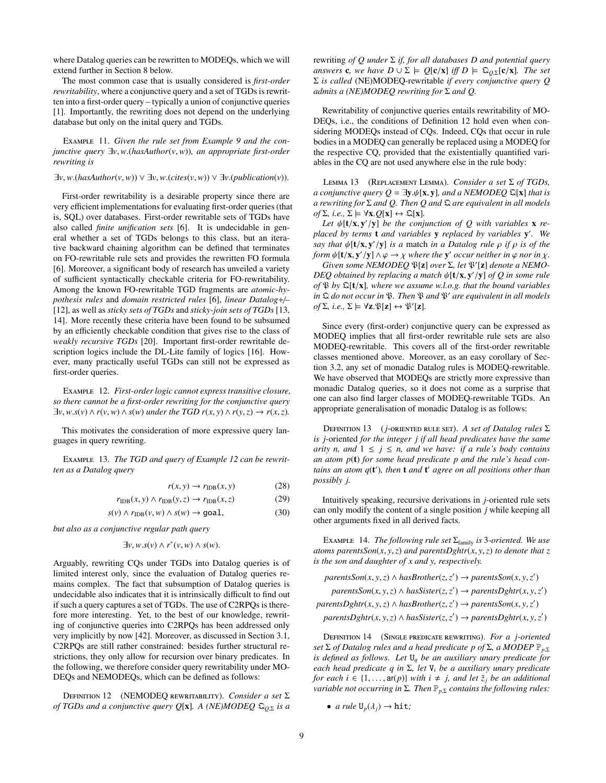where Datalog queries can be rewritten to MODEQs, which we will extend further in Section [8](#page-9-0) below.

The most common case that is usually considered is *first-order rewritability*, where a conjunctive query and a set of TGDs is rewritten into a first-order query – typically a union of conjunctive queries [\[1\]](#page-10-0). Importantly, the rewriting does not depend on the underlying database but only on the inital query and TGDs.

Example 11. *Given the rule set from Example [9](#page-7-0) and the conjunctive query* <sup>∃</sup>*v*,*w*.(*hasAuthor*(*v*,*w*))*, an appropriate first-order rewriting is*

#### <sup>∃</sup>*v*,*w*.(*hasAuthor*(*v*,*w*)) ∨ ∃*v*,*w*.(*cites*(*v*,*w*)) ∨ ∃*v*.(*publication*(*v*)).

First-order rewritability is a desirable property since there are very efficient implementations for evaluating first-order queries (that is, SQL) over databases. First-order rewritable sets of TGDs have also called *finite unification sets* [\[6\]](#page-11-19). It is undecidable in general whether a set of TGDs belongs to this class, but an iterative backward chaining algorithm can be defined that terminates on FO-rewritable rule sets and provides the rewritten FO formula [\[6\]](#page-11-19). Moreover, a significant body of research has unveiled a variety of sufficient syntactically checkable criteria for FO-rewritability. Among the known FO-rewritable TGD fragments are *atomic-hypothesis rules* and *domain restricted rules* [\[6\]](#page-11-19), *linear Datalog*+/*–* [\[12\]](#page-11-34), as well as *sticky sets of TGDs* and *sticky-join sets of TGDs* [\[13,](#page-11-37) [14\]](#page-11-38). More recently these criteria have been found to be subsumed by an efficiently checkable condition that gives rise to the class of *weakly recursive TGDs* [\[20\]](#page-11-39). Important first-order rewritable description logics include the DL-Lite family of logics [\[16\]](#page-11-33). However, many practically useful TGDs can still not be expressed as first-order queries.

<span id="page-8-0"></span>Example 12. *First-order logic cannot express transitive closure, so there cannot be a first-order rewriting for the conjunctive query*  $\exists v, w.s(v) \land r(v, w) \land s(w)$  *under the TGD*  $r(x, y) \land r(y, z) \rightarrow r(x, z)$ *.* 

This motivates the consideration of more expressive query languages in query rewriting.

Example 13. *The TGD and query of Example [12](#page-8-0) can be rewritten as a Datalog query*

$$
r(x, y) \to r_{\text{IDB}}(x, y) \tag{28}
$$

$$
r_{\text{IDB}}(x, y) \land r_{\text{IDB}}(y, z) \to r_{\text{IDB}}(x, z)
$$
 (29)

$$
s(v) \wedge r_{\text{IDB}}(v, w) \wedge s(w) \to \text{goal},\tag{30}
$$

*but also as a conjunctive regular path query*

$$
\exists v, w.s(v) \wedge r^*(v, w) \wedge s(w).
$$

Arguably, rewriting CQs under TGDs into Datalog queries is of limited interest only, since the evaluation of Datalog queries remains complex. The fact that subsumption of Datalog queries is undecidable also indicates that it is intrinsically difficult to find out if such a query captures a set of TGDs. The use of C2RPQs is therefore more interesting. Yet, to the best of our knowledge, rewriting of conjunctive queries into C2RPQs has been addressed only very implicitly by now [\[42\]](#page-11-36). Moreover, as discussed in Section [3.1,](#page-3-0) C2RPQs are still rather constrained: besides further structural restrictions, they only allow for recursion over binary predicates. In the following, we therefore consider query rewritability under MO-DEQs and NEMODEQs, which can be defined as follows:

<span id="page-8-1"></span>Definition 12 (NEMODEQ rewritability). *Consider a set* Σ *of TGDs and a conjunctive query Q*[x]*. A (NE)MODEQ* <sup>Q</sup>*<sup>Q</sup>*,<sup>Σ</sup> *is a* rewriting *of Q under* Σ *if, for all databases D and potential query answers* **c**, we have  $D \cup \Sigma \models Q[c/x]$  *iff*  $D \models \mathfrak{Q}_{Q,\Sigma}[c/x]$ *. The set* Σ *is called* (NE)MODEQ-rewritable *if every conjunctive query Q admits a (NE)MODEQ rewriting for* Σ *and Q.*

Rewritability of conjunctive queries entails rewritability of MO-DEQs, i.e., the conditions of Definition [12](#page-8-1) hold even when considering MODEQs instead of CQs. Indeed, CQs that occur in rule bodies in a MODEQ can generally be replaced using a MODEQ for the respective CQ, provided that the existentially quantified variables in the CQ are not used anywhere else in the rule body:

<span id="page-8-3"></span>Lemma 13 (Replacement Lemma). *Consider a set* Σ *of TGDs, a conjunctive query Q* =  $\exists y.\psi[x, y]$ *, and a NEMODEQ*  $\Omega[x]$  *that is a rewriting for* Σ *and Q. Then Q and* Q *are equivalent in all models*  $of \Sigma$ *, i.e.,*  $\Sigma \models \forall \mathbf{x} . Q[\mathbf{x}] \leftrightarrow \mathcal{Q}[\mathbf{x}]$ *.* 

Let  $\psi$ **[t/x, y'/y]** *be the conjunction of Q with variables* **x** *replaced by terms* t *and variables* y *replaced by variables* y 0 *. We say that*  $\psi[t/x, y'/y]$  *is a* match *in a Datalog rule*  $\rho$  *if*  $\rho$  *is of the*<br>*form*  $\psi[t/x, y'/y] \wedge \rho \rightarrow y$  *where the* y' *occur neither in*  $\phi$  *nor in y form*  $\psi$ **[t/x, y'/y]**  $\wedge \varphi \to \chi$  *where the* **y'** *occur neither in*  $\varphi$  *nor in*  $\chi$ *. Given some NEMODEO*  $\Re$ [**x**] *over*  $\Sigma$  *let*  $\Re'$ [**x**] *denote* a *NEMO.* 

*Given some NEMODEQ*  $\mathfrak{P}[z]$  *over*  $\Sigma$ *, let*  $\mathfrak{P}'[z]$  *denote a NEMO-DEQ obtained by replacing a match*  $\psi[\mathbf{t}/\mathbf{x}, \mathbf{y}'/y]$  *of Q in some rule*<br>*of*  $\Re$  *by*  $\Im[\mathbf{t}/\mathbf{x}]$  *where we assume w l o g that the bound variables of* <sup>P</sup> *by* <sup>Q</sup>[t/x]*, where we assume w.l.o.g. that the bound variables in*  $\mathfrak{D}$  *do not occur in*  $\mathfrak{P}$ *. Then*  $\mathfrak{P}$  *and*  $\mathfrak{P}'$  *are equivalent in all models*  $of \Sigma$ *, i.e.,*  $\Sigma \models \forall z \cdot \mathfrak{P}[z] \leftrightarrow \mathfrak{P}'[z]$ *.* 

Since every (first-order) conjunctive query can be expressed as MODEQ implies that all first-order rewritable rule sets are also MODEQ-rewritable. This covers all of the first-order rewritable classes mentioned above. Moreover, as an easy corollary of Section [3.2,](#page-3-1) any set of monadic Datalog rules is MODEQ-rewritable. We have observed that MODEQs are strictly more expressive than monadic Datalog queries, so it does not come as a surprise that one can also find larger classes of MODEQ-rewritable TGDs. An appropriate generalisation of monadic Datalog is as follows:

Definition 13 (*j*-oriented rule set). *A set of Datalog rules* Σ *is j*-oriented *for the integer j if all head predicates have the same arity n, and*  $1 \leq j \leq n$ *, and we have: if a rule's body contains an atom p*(t) *for some head predicate p and the rule's head con*tains an atom  $q(t')$ , then **t** and **t'** agree on all positions other than *possibly j.*

Intuitively speaking, recursive derivations in *j*-oriented rule sets can only modify the content of a single position *j* while keeping all other arguments fixed in all derived facts.

<span id="page-8-2"></span>Example 14. *The following rule set* Σfamily *is* 3*-oriented. We use atoms parentsSon*( $x$ ,  $y$ ,  $z$ ) *and parentsDghtr*( $x$ ,  $y$ ,  $z$ ) *to denote that*  $z$ *is the son and daughter of x and y, respectively.*

$$
parents Son(x, y, z) \land hasBrother(z, z') \rightarrow parentsSon(x, y, z')
$$
\n
$$
parents Son(x, y, z) \land hasSister(z, z') \rightarrow parentsDghtr(x, y, z')
$$
\n
$$
parentsDghtr(x, y, z) \land hasBrother(z, z') \rightarrow parentsSon(x, y, z')
$$
\n
$$
parentsDghtr(x, y, z) \land hasSister(z, z') \rightarrow parentsDghtr(x, y, z')
$$

<span id="page-8-4"></span>Definition 14 (Single predicate rewriting). *For a j-oriented set* <sup>Σ</sup> *of Datalog rules and a head predicate p of* <sup>Σ</sup>*, a MODEP* <sup>P</sup>*<sup>p</sup>*,<sup>Σ</sup> *is defined as follows. Let* U*<sup>q</sup> be an auxiliary unary predicate for each head predicate q in* Σ*, let* V*<sup>i</sup> be a auxiliary unary predicate for each i*  $\in$  {1,...,  $ar(p)$ } *with*  $i \neq j$ *, and let*  $\tilde{z}_j$  *be an additional variable not occurring in* Σ*. Then*  $\mathbb{P}_{p,\Sigma}$  *contains the following rules:* 

• *a rule*  $U_p(\lambda_i) \rightarrow \text{hit}$ ;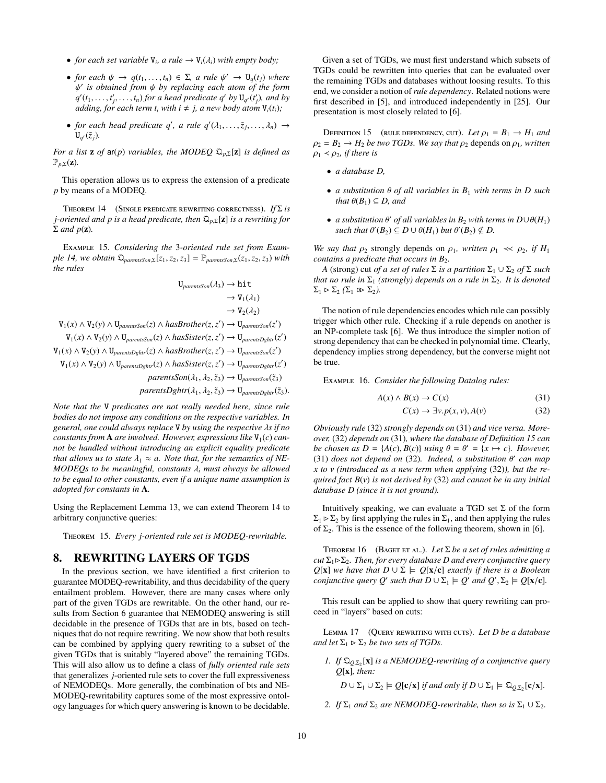- *for each set variable*  $V_i$ *, a rule*  $\rightarrow V_i(\lambda_i)$  *with empty body*;
- *for each*  $\psi \to q(t_1, \ldots, t_n) \in \Sigma$ , a rule  $\psi' \to U_q(t_j)$  where  $\psi'$  is obtained from  $\psi$  by replacing each atom of the form *q*<sup>(</sup>(*t*<sub>1</sub>, ..., *t*<sub>*i*</sub>, ..., *t*<sub>*n*</sub>) *for a head predicate q<sup>1</sup> by* U<sub>q</sub><sup>(</sup>(*t*<sup>1</sup>), and by<br>*g*(*d*<sub>1</sub>), and by<br>*gdding* for each term t, with  $i \neq j$ , a new body atom U.(t.). *is obtained from*  $\psi$  *by replacing each atom of the form*  $(f_t, f_t)$  *t i t i for a head predicate*  $g'$  *by*  $\Pi$  *<i>(t') and by adding, for each term*  $t_i$  *with*  $i \neq j$ *, a new body atom*  $V_i(t_i)$ ;
- *for each head predicate q'*, *a rule q'* $(\lambda_1, ..., \tilde{z}_j, ..., \lambda_n) \rightarrow$ <br> $\Pi_n(\tilde{z}_n)$  $U_{q'}(\tilde{z}_j)$ .

*For a list* **z** *of* ar(*p*) *variables, the MODEQ*  $\mathfrak{Q}_{p,\Sigma}[\mathbf{z}]$  *is defined as*  $\mathbb{P}_{p,\Sigma}(\mathbf{z})$ *.* 

This operation allows us to express the extension of a predicate *p* by means of a MODEQ.

<span id="page-9-1"></span>Theorem 14 (Single predicate rewriting correctness). *If* Σ *is j-oriented and p is a head predicate, then* <sup>Q</sup>*<sup>p</sup>*,<sup>Σ</sup>[z] *is a rewriting for*  $\Sigma$  *and*  $p(\mathbf{z})$ *.* 

Example 15. *Considering the* 3*-oriented rule set from Exam* $ple$  *[14,](#page-8-2)* we obtain  $\mathcal{Q}_{parentsSon,\Sigma}[z_1,z_2,z_3] = \mathbb{P}_{parentsSon,\Sigma}(z_1,z_2,z_3)$  with *the rules*

$$
U_{parameters}(A_3) \rightarrow hit
$$
  
\n
$$
\rightarrow V_1(\lambda_1)
$$
  
\n
$$
\rightarrow V_2(\lambda_2)
$$
  
\n
$$
V_1(x) \land V_2(y) \land U_{parameters}(z) \land hasBrother(z, z') \rightarrow U_{parentsOn}(z')
$$
  
\n
$$
V_1(x) \land V_2(y) \land U_{parentsOn}(z) \land hasSister(z, z') \rightarrow U_{parentsDghtr}(z')
$$
  
\n
$$
V_1(x) \land V_2(y) \land U_{parentsDghtr}(z) \land hasBrother(z, z') \rightarrow U_{parentsOn}(z')
$$
  
\n
$$
V_1(x) \land V_2(y) \land U_{parentsDghtr}(z) \land hasSister(z, z') \rightarrow U_{parentsDghtr}(z')
$$
  
\n
$$
parentsSon(\lambda_1, \lambda_2, \tilde{z}_3) \rightarrow U_{parentsDghtr}(\tilde{z}_3).
$$
  
\n
$$
parentsDghtr(\lambda_1, \lambda_2, \tilde{z}_3) \rightarrow U_{parentsDghtr}(\tilde{z}_3).
$$

*Note that the* V *predicates are not really needed here, since rule bodies do not impose any conditions on the respective variables. In general, one could always replace* <sup>V</sup> *by using the respective* λ*s if no constants from* **A** *are involved. However, expressions like*  $V_1(c)$  *cannot be handled without introducing an explicit equality predicate that allows us to state*  $\lambda_1 \approx a$ . *Note that, for the semantics of NE-MODEQs to be meaningful, constants* <sup>λ</sup>*<sup>i</sup> must always be allowed to be equal to other constants, even if a unique name assumption is adopted for constants in* A*.*

Using the Replacement Lemma [13,](#page-8-3) we can extend Theorem [14](#page-9-1) to arbitrary conjunctive queries:

<span id="page-9-8"></span>Theorem 15. *Every j-oriented rule set is MODEQ-rewritable.*

# <span id="page-9-0"></span>8. REWRITING LAYERS OF TGDS

In the previous section, we have identified a first criterion to guarantee MODEQ-rewritability, and thus decidability of the query entailment problem. However, there are many cases where only part of the given TGDs are rewritable. On the other hand, our results from Section [6](#page-7-1) guarantee that NEMODEQ answering is still decidable in the presence of TGDs that are in bts, based on techniques that do not require rewriting. We now show that both results can be combined by applying query rewriting to a subset of the given TGDs that is suitably "layered above" the remaining TGDs. This will also allow us to define a class of *fully oriented rule sets* that generalizes *j*-oriented rule sets to cover the full expressiveness of NEMODEQs. More generally, the combination of bts and NE-MODEQ-rewritability captures some of the most expressive ontology languages for which query answering is known to be decidable.

Given a set of TGDs, we must first understand which subsets of TGDs could be rewritten into queries that can be evaluated over the remaining TGDs and databases without loosing results. To this end, we consider a notion of *rule dependency*. Related notions were first described in [\[5\]](#page-11-40), and introduced independently in [\[25\]](#page-11-12). Our presentation is most closely related to [\[6\]](#page-11-19).

<span id="page-9-4"></span>DEFINITION 15 (RULE DEPENDENCY, CUT). Let  $\rho_1 = B_1 \rightarrow H_1$  and  $\rho_2 = B_2 \rightarrow H_2$  *be two TGDs. We say that*  $\rho_2$  depends on  $\rho_1$ *, written*  $\rho_1 < \rho_2$ *, if there is* 

- *a database D,*
- *a substitution* <sup>θ</sup> *of all variables in B*<sup>1</sup> *with terms in D such that*  $\theta(B_1) \subseteq D$ *, and*
- *a substitution*  $θ'$  *of all variables in*  $B_2$  *with terms in*  $D \cup θ(H_1)$ <br>such that  $θ'(B_2) ⊂ D \cup θ(H_2)$  but  $θ'(B_2)$  ⊄ D  $\mathcal{L}$  *such that*  $\theta'(B_2) \subseteq D \cup \theta(H_1)$  *but*  $\theta'(B_2) \nsubseteq D$ .

*We say that*  $\rho_2$  strongly depends on  $\rho_1$ *, written*  $\rho_1 \ll \rho_2$ *, if*  $H_1$ *contains a predicate that occurs in B*<sub>2</sub>*.* 

*A* (strong) cut *of a set of rules*  $\Sigma$  *is a partition*  $\Sigma_1 \cup \Sigma_2$  *of*  $\Sigma$  *such that no rule in*  $\Sigma_1$  *(strongly) depends on a rule in*  $\Sigma_2$ *. It is denoted*  $\Sigma_1 \triangleright \Sigma_2 \ (\Sigma_1 \triangleright \Sigma_2).$ 

The notion of rule dependencies encodes which rule can possibly trigger which other rule. Checking if a rule depends on another is an NP-complete task [\[6\]](#page-11-19). We thus introduce the simpler notion of strong dependency that can be checked in polynomial time. Clearly, dependency implies strong dependency, but the converse might not be true.

Example 16. *Consider the following Datalog rules:*

$$
A(x) \land B(x) \to C(x) \tag{31}
$$

<span id="page-9-3"></span><span id="page-9-2"></span>
$$
C(x) \to \exists v. p(x, v), A(v) \tag{32}
$$

*Obviously rule* [\(32\)](#page-9-2) *strongly depends on* [\(31\)](#page-9-3) *and vice versa. Moreover,* [\(32\)](#page-9-2) *depends on* [\(31\)](#page-9-3)*, where the database of Definition [15](#page-9-4) can be chosen as*  $D = \{A(c), B(c)\}\$  *using*  $\theta = \theta' = \{x \mapsto c\}$ *. However,* (31) *does not denend on* (32) *Indeed, a substitution*  $\theta'$  *can man* [\(31\)](#page-9-3) *does not depend on* [\(32\)](#page-9-2). *Indeed, a substitution*  $\theta'$  can map<br>*x* to *y* (introduced as a new term when annlying (32)), but the re*x to v (introduced as a new term when applying* [\(32\)](#page-9-2)*), but the required fact B*(*v*) *is not derived by* [\(32\)](#page-9-2) *and cannot be in any initial database D (since it is not ground).*

Intuitively speaking, we can evaluate a TGD set  $\Sigma$  of the form  $\Sigma_1 \triangleright \Sigma_2$  by first applying the rules in  $\Sigma_1$ , and then applying the rules of  $\Sigma_2$ . This is the essence of the following theorem, shown in [\[6\]](#page-11-19).

<span id="page-9-7"></span>Theorem 16 (Baget et al.). *Let* Σ *be a set of rules admitting a cut*  $\Sigma_1 \triangleright \Sigma_2$ *. Then, for every database D and every conjunctive query Q*[**x**] *we have that*  $D \cup \Sigma \models Q[\mathbf{x}/\mathbf{c}]$  *exactly if there is a Boolean conjunctive query Q'* such that  $D \cup \Sigma_1 \models Q'$  and  $Q', \Sigma_2 \models Q[\mathbf{x}/\mathbf{c}]$ *.* 

This result can be applied to show that query rewriting can proceed in "layers" based on cuts:

<span id="page-9-5"></span>Lemma 17 (Query rewriting with cuts). *Let D be a database and let*  $\Sigma_1 \triangleright \Sigma_2$  *be two sets of TGDs.* 

*1. If*  $\Omega_{Q,\Sigma_2}$  [**x**] *is a NEMODEQ-rewriting of a conjunctive query O*[*x*<sub>1</sub>] *it*<sub>*n*m</sub>. *Q*[x]*, then:*

 $D \cup \Sigma_1 \cup \Sigma_2 \models Q[\mathbf{c}/\mathbf{x}]$  *if and only if*  $D \cup \Sigma_1 \models \mathcal{Q}_{Q,\Sigma_2}[\mathbf{c}/\mathbf{x}]$ *.* 

<span id="page-9-6"></span>*2. If*  $\Sigma_1$  *and*  $\Sigma_2$  *are NEMODEQ-rewritable, then so is*  $\Sigma_1 \cup \Sigma_2$ *.*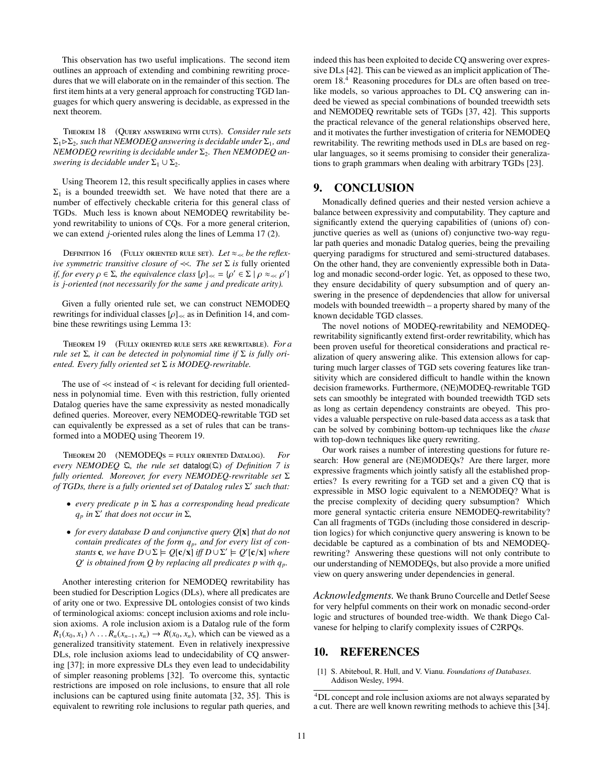This observation has two useful implications. The second item outlines an approach of extending and combining rewriting procedures that we will elaborate on in the remainder of this section. The first item hints at a very general approach for constructing TGD languages for which query answering is decidable, as expressed in the next theorem.

<span id="page-10-2"></span>Theorem 18 (Query answering with cuts). *Consider rule sets*  $\Sigma_1 \triangleright \Sigma_2$ , such that NEMODEQ answering is decidable under  $\Sigma_1$ , and *NEMODEQ rewriting is decidable under* Σ<sub>2</sub>. Then *NEMODEQ answering is decidable under*  $\Sigma_1 \cup \Sigma_2$ *.* 

Using Theorem [12,](#page-7-2) this result specifically applies in cases where  $\Sigma_1$  is a bounded treewidth set. We have noted that there are a number of effectively checkable criteria for this general class of TGDs. Much less is known about NEMODEQ rewritability beyond rewritability to unions of CQs. For a more general criterion, we can extend *j*-oriented rules along the lines of Lemma [17](#page-9-5) [\(2\)](#page-9-6).

DEFINITION 16 (FULLY ORIENTED RULE SET). Let  $\approx_{\leq x}$  be the reflex*ive symmetric transitive closure of* ≺≺*. The set* Σ *is* fully oriented *if, for every*  $\rho \in \Sigma$ , the equivalence class  $[\rho]_{\ll} = {\rho' \in \Sigma \mid \rho \approx_{\ll} \rho' }$ <br>is i-oriented (not necessarily for the same i and predicate arity) *is j-oriented (not necessarily for the same j and predicate arity).*

Given a fully oriented rule set, we can construct NEMODEQ rewritings for individual classes  $[\rho]_{\ll}$  as in Definition [14,](#page-8-4) and combine these rewritings using Lemma [13:](#page-8-3)

<span id="page-10-1"></span>Theorem 19 (Fully oriented rule sets are rewritable). *For a rule set* Σ*, it can be detected in polynomial time if* Σ *is fully oriented. Every fully oriented set* Σ *is MODEQ-rewritable.*

The use of ≺≺ instead of ≺ is relevant for deciding full orientedness in polynomial time. Even with this restriction, fully oriented Datalog queries have the same expressivity as nested monadically defined queries. Moreover, every NEMODEQ-rewritable TGD set can equivalently be expressed as a set of rules that can be transformed into a MODEQ using Theorem [19.](#page-10-1)

Theorem 20 (NEMODEQs = fully oriented Datalog). *For every NEMODEQ* Q*, the rule set* datalog(Q) *of Definition [7](#page-5-3) is fully oriented. Moreover, for every NEMODEQ-rewritable set* Σ *of TGDs, there is a fully oriented set of Datalog rules* Σ' such that:

- *every predicate p in* Σ *has a corresponding head predicate*  $q_p$  *in*  $\Sigma'$  *that does not occur in*  $\Sigma$ *,*
- *for every database D and conjunctive query Q*[x] *that do not contain predicates of the form qp, and for every list of constants* **c**, we have  $D \cup \Sigma \models Q[c/x]$  *iff*  $D \cup \Sigma' \models Q'[c/x]$  where  $O'$  is obtained from  $O$  by replacing all predicates p with a  $Q'$  is obtained from  $Q$  by replacing all predicates p with  $q_p$ .

Another interesting criterion for NEMODEQ rewritability has been studied for Description Logics (DLs), where all predicates are of arity one or two. Expressive DL ontologies consist of two kinds of terminological axioms: concept inclusion axioms and role inclusion axioms. A role inclusion axiom is a Datalog rule of the form  $R_1(x_0, x_1) \wedge \ldots R_n(x_{n-1}, x_n) \rightarrow R(x_0, x_n)$ , which can be viewed as a generalized transitivity statement. Even in relatively inexpressive DLs, role inclusion axioms lead to undecidability of CQ answering [\[37\]](#page-11-35); in more expressive DLs they even lead to undecidability of simpler reasoning problems [\[32\]](#page-11-41). To overcome this, syntactic restrictions are imposed on role inclusions, to ensure that all role inclusions can be captured using finite automata [\[32,](#page-11-41) [35\]](#page-11-42). This is equivalent to rewriting role inclusions to regular path queries, and indeed this has been exploited to decide CQ answering over expressive DLs [\[42\]](#page-11-36). This can be viewed as an implicit application of Theorem [18.](#page-10-2) [4](#page-10-3) Reasoning procedures for DLs are often based on treelike models, so various approaches to DL CQ answering can indeed be viewed as special combinations of bounded treewidth sets and NEMODEQ rewritable sets of TGDs [\[37,](#page-11-35) [42\]](#page-11-36). This supports the practical relevance of the general relationships observed here, and it motivates the further investigation of criteria for NEMODEQ rewritability. The rewriting methods used in DLs are based on regular languages, so it seems promising to consider their generalizations to graph grammars when dealing with arbitrary TGDs [\[23\]](#page-11-25).

# 9. CONCLUSION

Monadically defined queries and their nested version achieve a balance between expressivity and computability. They capture and significantly extend the querying capabilities of (unions of) conjunctive queries as well as (unions of) conjunctive two-way regular path queries and monadic Datalog queries, being the prevailing querying paradigms for structured and semi-structured databases. On the other hand, they are conveniently expressible both in Datalog and monadic second-order logic. Yet, as opposed to these two, they ensure decidability of query subsumption and of query answering in the presence of depdendencies that allow for universal models with bounded treewidth – a property shared by many of the known decidable TGD classes.

The novel notions of MODEQ-rewritability and NEMODEQrewritability significantly extend first-order rewritability, which has been proven useful for theoretical considerations and practical realization of query answering alike. This extension allows for capturing much larger classes of TGD sets covering features like transitivity which are considered difficult to handle within the known decision frameworks. Furthermore, (NE)MODEQ-rewritable TGD sets can smoothly be integrated with bounded treewidth TGD sets as long as certain dependency constraints are obeyed. This provides a valuable perspective on rule-based data access as a task that can be solved by combining bottom-up techniques like the *chase* with top-down techniques like query rewriting.

Our work raises a number of interesting questions for future research: How general are (NE)MODEQs? Are there larger, more expressive fragments which jointly satisfy all the established properties? Is every rewriting for a TGD set and a given CQ that is expressible in MSO logic equivalent to a NEMODEQ? What is the precise complexity of deciding query subsumption? Which more general syntactic criteria ensure NEMODEQ-rewritability? Can all fragments of TGDs (including those considered in description logics) for which conjunctive query answering is known to be decidable be captured as a combination of bts and NEMODEQrewriting? Answering these questions will not only contribute to our understanding of NEMODEQs, but also provide a more unified view on query answering under dependencies in general.

*Acknowledgments.* We thank Bruno Courcelle and Detlef Seese for very helpful comments on their work on monadic second-order logic and structures of bounded tree-width. We thank Diego Calvanese for helping to clarify complexity issues of C2RPQs.

# 10. REFERENCES

<span id="page-10-0"></span>[1] S. Abiteboul, R. Hull, and V. Vianu. *Foundations of Databases*. Addison Wesley, 1994.

<span id="page-10-3"></span><sup>&</sup>lt;sup>4</sup>DL concept and role inclusion axioms are not always separated by a cut. There are well known rewriting methods to achieve this [\[34\]](#page-11-43).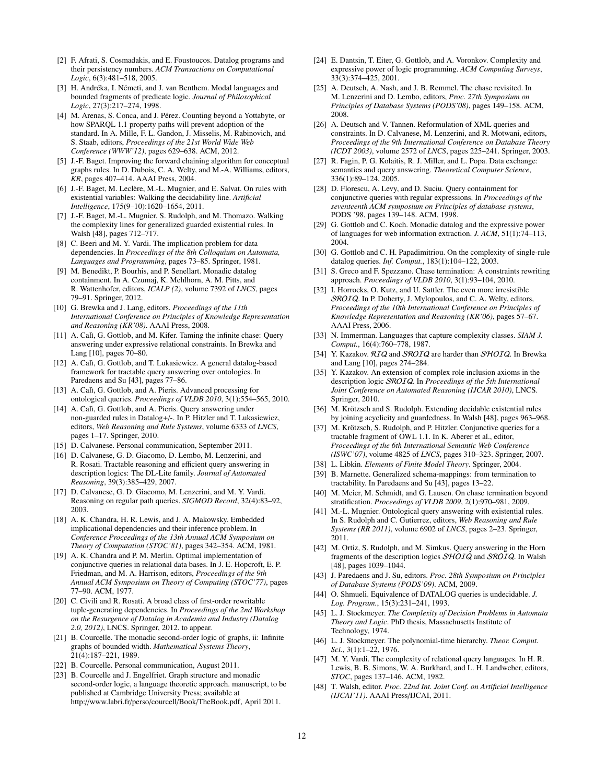- <span id="page-11-27"></span>[2] F. Afrati, S. Cosmadakis, and E. Foustoucos. Datalog programs and their persistency numbers. *ACM Transactions on Computational Logic*, 6(3):481–518, 2005.
- <span id="page-11-32"></span>[3] H. Andréka, I. Németi, and J. van Benthem. Modal languages and bounded fragments of predicate logic. *Journal of Philosophical Logic*, 27(3):217–274, 1998.
- <span id="page-11-22"></span>[4] M. Arenas, S. Conca, and J. Pérez. Counting beyond a Yottabyte, or how SPARQL 1.1 property paths will prevent adoption of the standard. In A. Mille, F. L. Gandon, J. Misselis, M. Rabinovich, and S. Staab, editors, *Proceedings of the 21st World Wide Web Conference (WWW'12)*, pages 629–638. ACM, 2012.
- <span id="page-11-40"></span>[5] J.-F. Baget. Improving the forward chaining algorithm for conceptual graphs rules. In D. Dubois, C. A. Welty, and M.-A. Williams, editors, *KR*, pages 407–414. AAAI Press, 2004.
- <span id="page-11-19"></span>[6] J.-F. Baget, M. Leclère, M.-L. Mugnier, and E. Salvat. On rules with existential variables: Walking the decidability line. *Artificial Intelligence*, 175(9–10):1620–1654, 2011.
- <span id="page-11-20"></span>[7] J.-F. Baget, M.-L. Mugnier, S. Rudolph, and M. Thomazo. Walking the complexity lines for generalized guarded existential rules. In Walsh [\[48\]](#page-11-44), pages 712–717.
- <span id="page-11-30"></span>[8] C. Beeri and M. Y. Vardi. The implication problem for data dependencies. In *Proceedings of the 8th Colloquium on Automata, Languages and Programming*, pages 73–85. Springer, 1981.
- <span id="page-11-28"></span>[9] M. Benedikt, P. Bourhis, and P. Senellart. Monadic datalog containment. In A. Czumaj, K. Mehlhorn, A. M. Pitts, and R. Wattenhofer, editors, *ICALP (2)*, volume 7392 of *LNCS*, pages 79–91. Springer, 2012.
- <span id="page-11-45"></span>[10] G. Brewka and J. Lang, editors. *Proceedings of the 11th International Conference on Principles of Knowledge Representation and Reasoning (KR'08)*. AAAI Press, 2008.
- <span id="page-11-18"></span>[11] A. Calì, G. Gottlob, and M. Kifer. Taming the infinite chase: Query answering under expressive relational constraints. In Brewka and Lang [\[10\]](#page-11-45), pages 70–80.
- <span id="page-11-34"></span>[12] A. Calì, G. Gottlob, and T. Lukasiewicz. A general datalog-based framework for tractable query answering over ontologies. In Paredaens and Su [\[43\]](#page-11-46), pages 77–86.
- <span id="page-11-37"></span>[13] A. Calì, G. Gottlob, and A. Pieris. Advanced processing for ontological queries. *Proceedings of VLDB 2010*, 3(1):554–565, 2010.
- <span id="page-11-38"></span>[14] A. Calì, G. Gottlob, and A. Pieris. Query answering under non-guarded rules in Datalog+/-. In P. Hitzler and T. Lukasiewicz, editors, *Web Reasoning and Rule Systems*, volume 6333 of *LNCS*, pages 1–17. Springer, 2010.
- <span id="page-11-21"></span>[15] D. Calvanese. Personal communication, September 2011.
- <span id="page-11-33"></span>[16] D. Calvanese, G. D. Giacomo, D. Lembo, M. Lenzerini, and R. Rosati. Tractable reasoning and efficient query answering in description logics: The DL-Lite family. *Journal of Automated Reasoning*, 39(3):385–429, 2007.
- <span id="page-11-9"></span>[17] D. Calvanese, G. D. Giacomo, M. Lenzerini, and M. Y. Vardi. Reasoning on regular path queries. *SIGMOD Record*, 32(4):83–92, 2003.
- <span id="page-11-29"></span>[18] A. K. Chandra, H. R. Lewis, and J. A. Makowsky. Embedded implicational dependencies and their inference problem. In *Conference Proceedings of the 13th Annual ACM Symposium on Theory of Computation (STOC'81)*, pages 342–354. ACM, 1981.
- <span id="page-11-1"></span>[19] A. K. Chandra and P. M. Merlin. Optimal implementation of conjunctive queries in relational data bases. In J. E. Hopcroft, E. P. Friedman, and M. A. Harrison, editors, *Proceedings of the 9th Annual ACM Symposium on Theory of Computing (STOC'77)*, pages 77–90. ACM, 1977.
- <span id="page-11-39"></span>[20] C. Civili and R. Rosati. A broad class of first-order rewritable tuple-generating dependencies. In *Proceedings of the 2nd Workshop on the Resurgence of Datalog in Academia and Industry (Datalog 2.0, 2012)*, LNCS. Springer, 2012. to appear.
- <span id="page-11-24"></span>[21] B. Courcelle. The monadic second-order logic of graphs, ii: Infinite graphs of bounded width. *Mathematical Systems Theory*, 21(4):187–221, 1989.
- <span id="page-11-26"></span>[22] B. Courcelle. Personal communication, August 2011.
- <span id="page-11-25"></span>[23] B. Courcelle and J. Engelfriet. Graph structure and monadic second-order logic, a language theoretic approach. manuscript, to be published at Cambridge University Press; available at http://www.labri.fr/perso/courcell/Book/[TheBook.pdf,](http://www.labri.fr/perso/courcell/Book/TheBook.pdf) April 2011.
- <span id="page-11-4"></span>[24] E. Dantsin, T. Eiter, G. Gottlob, and A. Voronkov. Complexity and expressive power of logic programming. *ACM Computing Surveys*, 33(3):374–425, 2001.
- <span id="page-11-12"></span>[25] A. Deutsch, A. Nash, and J. B. Remmel. The chase revisited. In M. Lenzerini and D. Lembo, editors, *Proc. 27th Symposium on Principles of Database Systems (PODS'08)*, pages 149–158. ACM, 2008.
- <span id="page-11-13"></span>[26] A. Deutsch and V. Tannen. Reformulation of XML queries and constraints. In D. Calvanese, M. Lenzerini, and R. Motwani, editors, *Proceedings of the 9th International Conference on Database Theory (ICDT 2003)*, volume 2572 of *LNCS*, pages 225–241. Springer, 2003.
- <span id="page-11-14"></span>[27] R. Fagin, P. G. Kolaitis, R. J. Miller, and L. Popa. Data exchange: semantics and query answering. *Theoretical Computer Science*, 336(1):89–124, 2005.
- <span id="page-11-8"></span>[28] D. Florescu, A. Levy, and D. Suciu. Query containment for conjunctive queries with regular expressions. In *Proceedings of the seventeenth ACM symposium on Principles of database systems*, PODS '98, pages 139–148. ACM, 1998.
- <span id="page-11-23"></span>[29] G. Gottlob and C. Koch. Monadic datalog and the expressive power of languages for web information extraction. *J. ACM*, 51(1):74–113, 2004.
- <span id="page-11-7"></span>[30] G. Gottlob and C. H. Papadimitriou. On the complexity of single-rule datalog queries. *Inf. Comput.*, 183(1):104–122, 2003.
- <span id="page-11-16"></span>[31] S. Greco and F. Spezzano. Chase termination: A constraints rewriting approach. *Proceedings of VLDB 2010*, 3(1):93–104, 2010.
- <span id="page-11-41"></span>[32] I. Horrocks, O. Kutz, and U. Sattler. The even more irresistible SROIQ. In P. Doherty, J. Mylopoulos, and C. A. Welty, editors, *Proceedings of the 10th International Conference on Principles of Knowledge Representation and Reasoning (KR'06)*, pages 57–67. AAAI Press, 2006.
- <span id="page-11-3"></span>[33] N. Immerman. Languages that capture complexity classes. *SIAM J. Comput.*, 16(4):760–778, 1987.
- <span id="page-11-43"></span>[34] Y. Kazakov. RIQ and SROIQ are harder than SHOIQ. In Brewka and Lang [\[10\]](#page-11-45), pages 274–284.
- <span id="page-11-42"></span>[35] Y. Kazakov. An extension of complex role inclusion axioms in the description logic SROIQ. In *Proceedings of the 5th International Joint Conference on Automated Reasoning (IJCAR 2010)*, LNCS. Springer, 2010.
- <span id="page-11-17"></span>[36] M. Krötzsch and S. Rudolph. Extending decidable existential rules by joining acyclicity and guardedness. In Walsh [\[48\]](#page-11-44), pages 963–968.
- <span id="page-11-35"></span>[37] M. Krötzsch, S. Rudolph, and P. Hitzler. Conjunctive queries for a tractable fragment of OWL 1.1. In K. Aberer et al., editor, *Proceedings of the 6th International Semantic Web Conference (ISWC'07)*, volume 4825 of *LNCS*, pages 310–323. Springer, 2007.
- <span id="page-11-10"></span>[38] L. Libkin. *Elements of Finite Model Theory*. Springer, 2004.
- <span id="page-11-31"></span>[39] B. Marnette. Generalized schema-mappings: from termination to tractability. In Paredaens and Su [\[43\]](#page-11-46), pages 13–22.
- <span id="page-11-15"></span>[40] M. Meier, M. Schmidt, and G. Lausen. On chase termination beyond stratification. *Proceedings of VLDB 2009*, 2(1):970–981, 2009.
- <span id="page-11-0"></span>[41] M.-L. Mugnier. Ontological query answering with existential rules. In S. Rudolph and C. Gutierrez, editors, *Web Reasoning and Rule Systems (RR 2011)*, volume 6902 of *LNCS*, pages 2–23. Springer, 2011.
- <span id="page-11-36"></span>[42] M. Ortiz, S. Rudolph, and M. Simkus. Query answering in the Horn fragments of the description logics SHOIQ and SROIQ. In Walsh [\[48\]](#page-11-44), pages 1039–1044.
- <span id="page-11-46"></span>[43] J. Paredaens and J. Su, editors. *Proc. 28th Symposium on Principles of Database Systems (PODS'09)*. ACM, 2009.
- <span id="page-11-5"></span>[44] O. Shmueli. Equivalence of DATALOG queries is undecidable. *J*. *Log. Program.*, 15(3):231–241, 1993.
- <span id="page-11-2"></span>[45] L. J. Stockmeyer. *The Complexity of Decision Problems in Automata Theory and Logic*. PhD thesis, Massachusetts Institute of Technology, 1974.
- <span id="page-11-6"></span>[46] L. J. Stockmeyer. The polynomial-time hierarchy. *Theor. Comput*. *Sci.*, 3(1):1–22, 1976.
- <span id="page-11-11"></span>[47] M. Y. Vardi. The complexity of relational query languages. In H. R. Lewis, B. B. Simons, W. A. Burkhard, and L. H. Landweber, editors, *STOC*, pages 137–146. ACM, 1982.
- <span id="page-11-44"></span>[48] T. Walsh, editor. *Proc. 22nd Int. Joint Conf. on Artificial Intelligence (IJCAI'11)*. AAAI Press/IJCAI, 2011.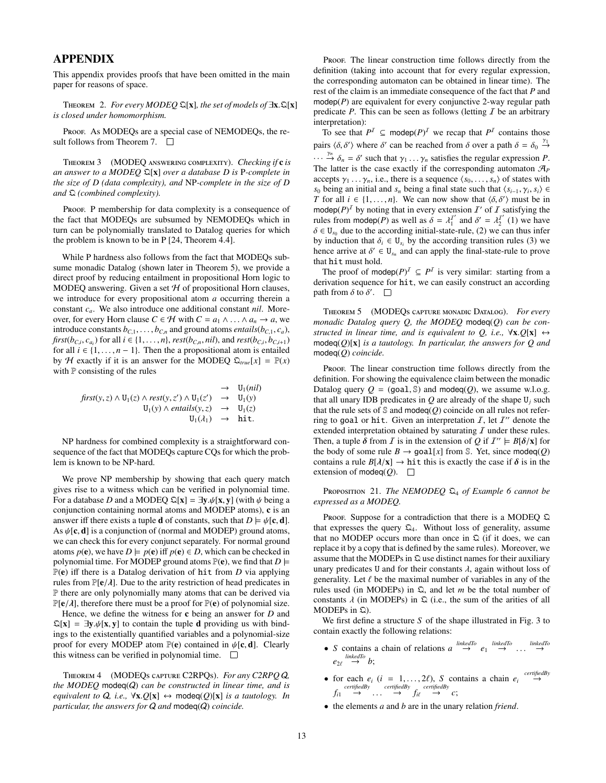# APPENDIX

This appendix provides proofs that have been omitted in the main paper for reasons of space.

<sup>T</sup>heorem 2. *For every MODEQ* <sup>Q</sup>[x]*, the set of models of* <sup>∃</sup>x.Q[x] *is closed under homomorphism.*

Proof. As MODEQs are a special case of NEMODEQs, the re-sult follows from Theorem [7.](#page-5-4)  $\Box$ 

Theorem 3 (MODEQ answering complexity). *Checking if* c *is an answer to a MODEQ* Q[x] *over a database D is* P*-complete in the size of D (data complexity), and* NP*-complete in the size of D and* Q *(combined complexity).*

Proof. P membership for data complexity is a consequence of the fact that MODEQs are subsumed by NEMODEQs which in turn can be polynomially translated to Datalog queries for which the problem is known to be in P [\[24,](#page-11-4) Theorem 4.4].

While P hardness also follows from the fact that MODEQs subsume monadic Datalog (shown later in Theorem [5\)](#page-4-4), we provide a direct proof by reducing entailment in propositional Horn logic to MODEQ answering. Given a set  $H$  of propositional Horn clauses, we introduce for every propositional atom *a* occurring therein a constant *ca*. We also introduce one additional constant *nil*. Moreover, for every Horn clause  $C \in \mathcal{H}$  with  $C = a_1 \wedge \ldots \wedge a_n \rightarrow a$ , we introduce constants  $b_{C,1}, \ldots, b_{C,n}$  and ground atoms *entails*( $b_{C,1}, c_a$ ), first( $b_{C,i}, c_{a_i}$ ) for all  $i \in \{1, ..., n\}$ , rest( $b_{C,n}$ , nil), and rest( $b_{C,i}, b_{C,i+1}$ )<br>for all  $i \in \{1, ..., n\}$ . Then the a propositional atom is entailed for all  $i \in \{1, \ldots, n-1\}$ . Then the a propositional atom is entailed by H exactly if it is an answer for the MODEQ  $\mathfrak{D}_{true}[x] = \mathbb{P}(x)$ with  $P$  consisting of the rules

$$
\begin{array}{rcl}\n & \to & U_1(nil) \\
\text{first}(y, z) \land U_1(z) \land \text{rest}(y, z') \land U_1(z') & \to & U_1(y) \\
 & U_1(y) \land \text{entails}(y, z) & \to & U_1(z) \\
 & U_1(\lambda_1) & \to & \text{hit.} \n\end{array}
$$

NP hardness for combined complexity is a straightforward consequence of the fact that MODEQs capture CQs for which the problem is known to be NP-hard.

We prove NP membership by showing that each query match gives rise to a witness which can be verified in polynomial time. For a database *D* and a MODEQ  $\mathfrak{Q}[x] = \exists y.\psi[x, y]$  (with  $\psi$  being a conjunction containing normal atoms and MODEP atoms), c is an answer iff there exists a tuple **d** of constants, such that  $D \models \psi[\mathbf{c}, \mathbf{d}]$ . As  $\psi[\mathbf{c}, \mathbf{d}]$  is a conjunction of (normal and MODEP) ground atoms, we can check this for every conjunct separately. For normal ground atoms  $p(e)$ , we have  $D \models p(e)$  iff  $p(e) \in D$ , which can be checked in polynomial time. For MODEP ground atoms  $\mathbb{P}(\mathbf{e})$ , we find that  $D \models$ P(e) iff there is a Datalog derivation of hit from *D* via applying rules from  $\mathbb{P}[\mathbf{e}/\lambda]$ . Due to the arity restriction of head predicates in P there are only polynomially many atoms that can be derived via  $\mathbb{P}[\mathbf{e}/\lambda]$ , therefore there must be a proof for  $\mathbb{P}(\mathbf{e})$  of polynomial size.

Hence, we define the witness for c being an answer for *D* and  $\mathbb{Q}[\mathbf{x}] = \exists \mathbf{v}.\psi[\mathbf{x}, \mathbf{v}]$  to contain the tuple **d** providing us with bindings to the existentially quantified variables and a polynomial-size proof for every MODEP atom  $\mathbb{P}(\mathbf{e})$  contained in  $\mathcal{W}[\mathbf{c}, \mathbf{d}]$ . Clearly this witness can be verified in polynomial time.  $\square$ 

Theorem 4 (MODEQs capture C2RPQs). *For any C2RPQ* Q*, the MODEQ* modeq(Q) *can be constructed in linear time, and is equivalent to*  $Q$ *, i.e.,*  $\forall x.Q[x] \leftrightarrow \text{modeq}(Q)[x]$  *is a tautology. In particular, the answers for* Q *and* modeq(Q) *coincide.*

PROOF. The linear construction time follows directly from the definition (taking into account that for every regular expression, the corresponding automaton can be obtained in linear time). The rest of the claim is an immediate consequence of the fact that *P* and modep(*P*) are equivalent for every conjunctive 2-way regular path predicate  $P$ . This can be seen as follows (letting  $I$  be an arbitrary interpretation):

To see that  $P^I \subseteq \text{modep}(P)^I$  we recap that  $P^I$  contains those pairs  $\langle \delta, \delta' \rangle$  where  $\delta'$  can be reached from  $\delta$  over a path  $\delta = \delta_0 \frac{\gamma_1}{\gamma_1}$  $\cdots$   $\stackrel{\gamma_n}{\rightarrow} \delta_n = \delta'$  such that  $\gamma_1 \ldots \gamma_n$  satisfies the regular expression *P*.<br>The latter is the case exactly if the corresponding automaton  $\mathcal{A}_n$ . The latter is the case exactly if the corresponding automaton  $\mathcal{A}_P$ accepts  $\gamma_1 \dots \gamma_n$ , i.e., there is a sequence  $\langle s_0, \dots, s_n \rangle$  of states with *s*<sup>0</sup> being an initial and *s<sub>n</sub>* being a final state such that  $\langle s_{i-1}, \gamma_i, s_i \rangle \in T$  for all  $i \in \{1, ..., n\}$ . We can now show that  $\langle \delta, \delta' \rangle$  must be in *T* for all  $i \in \{1, ..., n\}$ . We can now show that  $\langle \delta, \delta' \rangle$  must be in moder  $(P)^{T}$  by noting that in every extension *T'* of *T* satisfying the modep( $P$ )<sup>*I*</sup> by noting that in every extension  $I'$  of  $I$  satisfying the rules from modep(*P*) as well as  $\delta = \lambda_1^{T'}$  and  $\delta' = \lambda_2^{T'}$  (1) we have  $\delta \in U_{s_0}$  due to the according initial-state-rule, (2) we can thus infer<br>by induction that  $\delta \in U$ , by the according transition rules (3) we by induction that  $\delta_i \in U_{s_i}$  by the according transition rules (3) we hence arrive at  $\delta' \in U_{s_i}$  and can apply the final-state-rule to prove hence arrive at  $\delta' \in U_{s_n}$  and can apply the final-state-rule to prove that hit must hold that hit must hold.

The proof of modep( $P$ )<sup> $I \subseteq P$ </sup> is very similar: starting from a derivation sequence for hit, we can easily construct an according path from  $\delta$  to  $\delta'$ .

Theorem 5 (MODEQs capture monadic Datalog). *For every monadic Datalog query Q, the MODEQ* modeq(*Q*) *can be constructed in linear time, and is equivalent to Q, i.e.,*  $\forall x.Q[x] \leftrightarrow$ modeq(*Q*)[x] *is a tautology. In particular, the answers for Q and* modeq(*Q*) *coincide.*

Proof. The linear construction time follows directly from the definition. For showing the equivalence claim between the monadic Datalog query  $Q = (goal, \mathbb{S})$  and modeq(*Q*), we assume w.l.o.g. that all unary IDB predicates in  $Q$  are already of the shape  $U_i$  such that the rule sets of  $\Im$  and modeq( $Q$ ) coincide on all rules not referring to goal or hit. Given an interpretation  $I$ , let  $I''$  denote the extended interpretation obtained by saturating  $I$  under these rules. Then, a tuple  $\delta$  from *I* is in the extension of *Q* if  $I'' \models B[\delta/x]$  for the body of some rule  $B \rightarrow \text{goal}[x]$  from *S*. Yet since modes (*O*) the body of some rule  $B \to \text{goal}[x]$  from S. Yet, since modeq(*Q*) contains a rule  $B[\lambda/x] \to h$  it this is exactly the case if  $\delta$  is in the extension of modeq $(Q)$ .  $\square$ 

<span id="page-12-0"></span>Proposition 21. *The NEMODEQ* Q<sup>4</sup> *of Example [6](#page-4-0) cannot be expressed as a MODEQ.*

Proof. Suppose for a contradiction that there is a MODEQ  $\Omega$ that expresses the query  $\mathcal{Q}_4$ . Without loss of generality, assume that no MODEP occurs more than once in  $\Omega$  (if it does, we can replace it by a copy that is defined by the same rules). Moreover, we assume that the MODEPs in Q use distinct names for their auxiliary unary predicates U and for their constants  $\lambda$ , again without loss of generality. Let  $\ell$  be the maximal number of variables in any of the rules used (in MODEPs) in Q, and let *m* be the total number of constants  $\lambda$  (in MODEPs) in  $\Omega$  (i.e., the sum of the arities of all MODEPs in Q).

We first define a structure *S* of the shape illustrated in Fig. [3](#page-4-2) to contain exactly the following relations:

- *S* contains a chain of relations  $a \stackrel{\text{linkedTo}}{\rightarrow} e_1 \stackrel{\text{linkedTo}}{\rightarrow} \dots$ *linkedTo* →  $e_{2\ell} \stackrel{\text{linkedTo}}{\rightarrow} b;$
- for each  $e_i$  ( $i = 1, ..., 2\ell$ ), *S* contains a chain  $e_i \xrightarrow{certifiedBy}$ <br>*certifiedBy* certifiedBy  $f_{i1} \rightarrow \cdots \rightarrow f_{i\ell} \rightarrow c;$ <br>  $f_{i1} \rightarrow \cdots$
- the elements *a* and *b* are in the unary relation *friend*.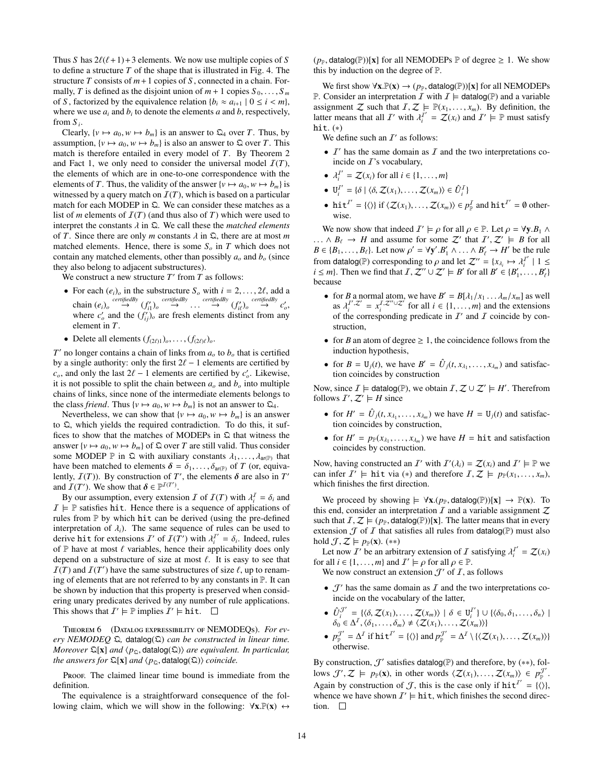Thus *S* has  $2\ell(\ell+1)+3$  elements. We now use multiple copies of *S* to define a structure *T* of the shape that is illustrated in Fig. [4.](#page-5-2) The structure *T* consists of *m*+1 copies of *S* , connected in a chain. Formally, *T* is defined as the disjoint union of  $m + 1$  copies  $S_0, \ldots, S_m$ of *S*, factorized by the equivalence relation  $\{b_i \approx a_{i+1} \mid 0 \le i \le m\}$ , where we use  $a_i$  and  $b_i$  to denote the elements  $a$  and  $b$ , respectively, from  $S_i$ .

Clearly,  $\{v \mapsto a_0, w \mapsto b_m\}$  is an answer to  $\mathfrak{Q}_4$  over *T*. Thus, by assumption,  $\{v \mapsto a_0, w \mapsto b_m\}$  is also an answer to  $\Omega$  over *T*. This match is therefore entailed in every model of *T*. By Theorem [2](#page-3-5) and Fact [1,](#page-2-5) we only need to consider the universal model  $\mathcal{I}(T)$ , the elements of which are in one-to-one correspondence with the elements of *T*. Thus, the validity of the answer { $v \mapsto a_0$ ,  $w \mapsto b_m$ } is witnessed by a query match on  $\mathcal{I}(T)$ , which is based on a particular match for each MODEP in  $\Omega$ . We can consider these matches as a list of *m* elements of  $\mathcal{I}(T)$  (and thus also of *T*) which were used to interpret the constants  $\lambda$  in  $\Omega$ . We call these the *matched elements* of *T*. Since there are only *m* constants  $\lambda$  in  $\Omega$ , there are at most *m* matched elements. Hence, there is some  $S<sub>o</sub>$  in *T* which does not contain any matched elements, other than possibly  $a<sub>o</sub>$  and  $b<sub>o</sub>$  (since they also belong to adjacent substructures).

We construct a new structure  $T'$  from  $T$  as follows:

- For each  $(e_i)_o$  in the substructure  $S_o$  with  $i = 2, ..., 2\ell$ , add a<br>chain  $(e_i)_o \xrightarrow{certifiedBy} (f'_i)_o \xrightarrow{certifiedBy} (f'_i)_o \xrightarrow{certifiedBy} (f'_i)_o$ <br>where  $c'$  and the  $(f')$  are fresh elements distinct from any where  $c'_o$  and the  $(f'_{ij})_o$  are fresh elements distinct from any element in *T*.
- Delete all elements  $(f_{(2\ell)1})_o, \ldots, (f_{(2\ell)\ell})_o$ .

 $T'$  no longer contains a chain of links from  $a<sub>o</sub>$  to  $b<sub>o</sub>$  that is certified by a single authority: only the first  $2\ell - 1$  elements are certified by *c<sub>o</sub>*, and only the last  $2\ell - 1$  elements are certified by *c*<sub>*o*</sub>. Likewise, it is not possible to split the chain between *a*, and *b* into multiple it is not possible to split the chain between  $a<sub>o</sub>$  and  $b<sub>o</sub>$  into multiple chains of links, since none of the intermediate elements belongs to the class *friend*. Thus  $\{v \mapsto a_0, w \mapsto b_m\}$  is not an answer to  $\mathfrak{Q}_4$ .

Nevertheless, we can show that  $\{v \mapsto a_0, w \mapsto b_m\}$  is an answer to Q, which yields the required contradiction. To do this, it suffices to show that the matches of MODEPs in  $\Omega$  that witness the answer  $\{v \mapsto a_0, w \mapsto b_m\}$  of  $\Omega$  over *T* are still valid. Thus consider some MODEP P in  $\Omega$  with auxiliary constants  $\lambda_1, \ldots, \lambda_{\text{ar}(P)}$  that have been matched to elements  $\delta = \delta_1, \ldots, \delta_{\text{ar}(P)}$  of T (or equivahave been matched to elements  $\delta = \delta_1, \ldots, \delta_{\text{ar}(P)}$  of *T* (or, equivalently,  $\mathcal{I}(T)$ ). By construction of  $T'$ , the elements  $\delta$  are also in  $T'$ <br>and  $\mathcal{I}(T')$ . We show that  $\delta \in \mathbb{P}^{\mathcal{I}(T')}$ and  $\overline{I}(T')$ . We show that  $\delta \in \mathbb{P}^{\overline{I}(T')}$ .<br>By our assumption every extensi-

By our assumption, every extension  $I$  of  $I(T)$  with  $\lambda_i^I = \delta_i$  and  $\vdash$  **P** satisfies hit. Hence there is a sequence of annications of  $I \models \mathbb{P}$  satisfies hit. Hence there is a sequence of applications of rules from  $P$  by which hit can be derived (using the pre-defined interpretation of  $\lambda_i$ ). The same sequence of rules can be used to derive hit for extensions  $I'$  of  $I(T')$  with  $\lambda_1^{I'} = \delta_i$ . Indeed, rules<br>of  $\mathbb{P}$  have at most *f* variables hence their applicability does only of  $P$  have at most  $\ell$  variables, hence their applicability does only depend on a substructure of size at most  $\ell$ . It is easy to see that  $I(T)$  and  $I(T')$  have the same substructures of size  $\ell$ , up to renam-<br>ing of elements that are not referred to by any constants in  $\mathbb{P}$ . It can ing of elements that are not referred to by any constants in P. It can be shown by induction that this property is preserved when considering unary predicates derived by any number of rule applications. This shows that  $\mathcal{I}' \models \mathbb{P}$  implies  $\mathcal{I}' \models \text{hit}$ .

Theorem 6 (Datalog expressibility of NEMODEQs). *For every NEMODEQ* Q*,* datalog(Q) *can be constructed in linear time. Moreover*  $\mathbb{Q}[\mathbf{x}]$  *and*  $\langle p_{\mathbb{Q}}, \text{datalog}(\mathbb{Q}) \rangle$  *are equivalent. In particular, the answers for*  $\mathfrak{Q}[\mathbf{x}]$  *and*  $\langle p_{\mathfrak{Q}}, \mathsf{datalog}(\mathfrak{Q}) \rangle$  *coincide.* 

Proof. The claimed linear time bound is immediate from the definition.

The equivalence is a straightforward consequence of the following claim, which we will show in the following:  $\forall x \mathbb{P}(x) \leftrightarrow$   $(p_{\mathbb{P}}, \text{datalog}(\mathbb{P}))[\mathbf{x}]$  for all NEMODEPs  $\mathbb{P}$  of degree  $\geq 1$ . We show this by induction on the degree of P.

We first show  $\forall x \cdot \mathbb{P}(x) \rightarrow (p_{\mathbb{P}}, \text{datalog}(\mathbb{P}))[x]$  for all NEMODEPs P. Consider an interpretation  $\mathcal I$  with  $\mathcal I \models$  datalog(P) and a variable assignment Z such that  $I, Z \models \mathbb{P}(x_1, \ldots, x_m)$ . By definition, the latter means that all  $I'$  with  $\lambda_i^{I'} = Z(x_i)$  and  $I' \models \mathbb{P}$  must satisfy hit  $(*)$ hit.  $(*)$ 

We define such an  $I'$  as follows:

- $I'$  has the same domain as  $I$  and the two interpretations coincide on  $I$ 's vocabulary,
- $\lambda_i^{T'} = \mathcal{Z}(x_i)$  for all  $i \in \{1, ..., m\}$
- $U_i^{\mathcal{I}'} = \{ \delta \mid \langle \delta, \mathcal{Z}(x_1), \dots, \mathcal{Z}(x_m) \rangle \in \hat{U}_i^{\mathcal{I}} \}$
- hit<sup>I'</sup> = { $\langle \rangle$ } if  $\langle Z(x_1), \ldots, Z(x_m) \rangle \in p_{\mathbb{P}}^I$  and hit<sup>I'</sup> = 0 otherwise.

We now show that indeed  $I' \models \rho$  for all  $\rho \in \mathbb{P}$ . Let  $\rho = \forall y.B_1 \land$ <br>  $\land B_2 \rightarrow H$  and assume for some  $Z'$  that  $I' \not\supseteq I' \models B$  for all ...  $\wedge B_{\ell} \rightarrow H$  and assume for some Z' that  $I', Z' \models B$  for all  $B \in \{B, \ldots, B\}$ . Let now  $\alpha' = \forall x' B' \land \ldots \land B' \rightarrow H'$  be the rule  $B \in \{B_1, \ldots, B_\ell\}$ . Let now  $\rho' = \forall y'.B'_1 \wedge \ldots \wedge B'_\ell \rightarrow H'$  be the rule from datalog(P) corresponding to *ρ* and let  $Z'' = {x_{\lambda_i} \mapsto \lambda_i^{T'} \mid 1 \le i \le m}$ .<br>*i*  $\le m!$  Then we find that  $\overline{I}$ ,  $Z'' \cup Z' \vdash R'$  for all  $R' \in R' \setminus R'$ . *i* ≤ *m*}. Then we find that  $\mathcal{I}, \mathcal{Z}'' \cup \mathcal{Z}' \models B'$  for all  $B' \in \{B'_1, \ldots, B'_\ell\}$ because

- for *B* a normal atom, we have  $B' = B[\lambda_1/x_1 \dots x_m/x_m]$  as well<br>as  $\lambda^{I',Z'} = x^{I,Z''\cup Z'}$  for all  $i \in \{1, m\}$  and the extensions as  $\lambda_i^{T',Z'} = x_i^{T,Z''\cup Z'}$  for all  $i \in \{1,\ldots,m\}$  and the extensions of the corresponding predicate in  $T'$  and  $\overline{T}$  coincide by conof the corresponding predicate in  $I'$  and  $I$  coincide by construction,
- for *B* an atom of degree  $\geq 1$ , the coincidence follows from the induction hypothesis,
- for  $B = U_j(t)$ , we have  $B' = \hat{U}_j(t, x_{\lambda_1}, \dots, x_{\lambda_m})$  and satisfaction coincides by construction tion coincides by construction

Now, since  $\overline{I}$   $\models$  datalog( $\mathbb{P}$ ), we obtain  $\overline{I}$ ,  $\mathcal{Z} \cup \mathcal{Z}' \models H'$ . Therefrom follows  $\overline{I}'$ ,  $\mathcal{Z}' \models H$  since follows  $I', Z' \models H$  since

- for  $H' = \hat{U}_j(t, x_{\lambda_1}, \dots, x_{\lambda_m})$  we have  $H = U_j(t)$  and satisfaction coincides by construction tion coincides by construction,
- for  $H' = p_{\mathbb{P}}(x_{\lambda_1}, \dots, x_{\lambda_m})$  we have  $H = \text{hit}$  and satisfaction coincides by construction coincides by construction.

Now, having constructed an  $\mathcal{I}'$  with  $\mathcal{I}'(\lambda_i) = \mathcal{Z}(x_i)$  and  $\mathcal{I}' \models \mathbb{P}$  we can infer  $\mathcal{I}' \models$  hit via  $(*)$  and therefore  $\mathcal{I} \not\supseteq \models p_2(x_i, y_i)$ can infer  $I' \models$  hit via (\*) and therefore  $I, Z \models p_{\mathbb{P}}(x_1, \ldots, x_m)$ , which finishes the first direction which finishes the first direction.

We proceed by showing  $\models \forall x. (p_{\mathbb{P}}, \text{datalog}(\mathbb{P}))[x] \rightarrow \mathbb{P}(x)$ . To this end, consider an interpretation  $I$  and a variable assignment  $Z$ such that  $I, Z \models (p_{\mathbb{P}}, \text{datalog}(\mathbb{P}))[\mathbf{x}]$ . The latter means that in every extension  $\mathcal J$  of  $\mathcal I$  that satisfies all rules from datalog(P) must also hold  $\mathcal{J}, \mathcal{Z} \models p_{\mathbb{P}}(\mathbf{x})$ . (\*\*)

Let now *I'* be an arbitrary extension of *I* satisfying  $\lambda_i^{I'} = \mathcal{Z}(x_i)$ <br>r all  $i \in \{1, ..., m\}$  and  $I' \models c$  for all  $c \in \mathbb{P}$ for all  $i \in \{1, ..., m\}$  and  $\mathcal{I}' \models \rho$  for all  $\rho \in \mathbb{P}$ .<br>We now construct an extension  $\mathcal{T}'$  of  $\mathcal{T}$  as

We now construct an extension  $\mathcal{J}'$  of  $\mathcal{I}$ , as follows

- $J'$  has the same domain as  $I$  and the two interpretations coincide on the vocabulary of the latter,
- $\hat{U}_i^{\mathcal{J}'} = \{ \langle \delta, \mathcal{Z}(x_1), \ldots, \mathcal{Z}(x_m) \rangle \mid \delta \in \mathbf{U}_i^{\mathcal{I}'} \} \cup \{ \langle \delta_0, \delta_1, \ldots, \delta_n \rangle \mid$ <br>  $\delta_0 \in \Lambda^{\mathcal{I}}(\delta_0, \delta_1 \neq \langle \mathcal{Z}(x_1), \ldots, \mathcal{Z}(x_m) \rangle \}$  $\delta_0 \in \Delta^I, \langle \delta_1, \ldots, \delta_m \rangle \neq \langle \mathcal{Z}(x_1), \ldots, \mathcal{Z}(x_m) \rangle$
- $p_{\mathbb{P}}^{\mathcal{J}'} = \Delta^{\mathcal{I}}$  if hit<sup> $\mathcal{I}' = {\langle \rangle}$  and  $p_{\mathbb{P}}^{\mathcal{J}'} = \Delta^{\mathcal{I}} \setminus {\langle \langle \mathcal{Z}(x_1), \dots, \mathcal{Z}(x_m) \rangle}$ </sup> otherwise.

By construction,  $\mathcal{J}'$  satisfies datalog(P) and therefore, by (\*\*), follows  $\mathcal{J}', \mathcal{Z} \models p_{\mathbb{P}}(\mathbf{x})$ , in other words  $\langle \mathcal{Z}(x_1), \ldots, \mathcal{Z}(x_m) \rangle \in p_{\mathbb{P}}^{\mathcal{J}'}$ . Again by construction of  $\mathcal{J}$ , this is the case only if  $\text{hit}^{I'} = \{ \langle \rangle \},\$ whence we have shown  $I' \models \text{hit}$ , which finishes the second direction.  $\square$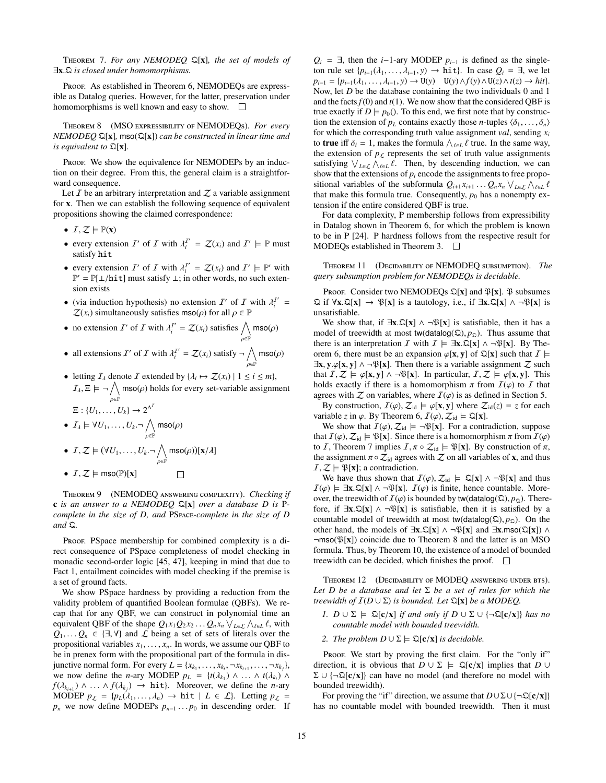Theorem 7. *For any NEMODEQ* Q[x]*, the set of models of* <sup>∃</sup>x.<sup>Q</sup> *is closed under homomorphisms.*

Proof. As established in Theorem [6,](#page-5-5) NEMODEQs are expressible as Datalog queries. However, for the latter, preservation under homomorphisms is well known and easy to show.  $\square$ 

Theorem 8 (MSO expressibility of NEMODEQs). *For every NEMODEQ* Q[x]*,* mso(Q[x]) *can be constructed in linear time and is equivalent to* Q[x]*.*

Proof. We show the equivalence for NEMODEPs by an induction on their degree. From this, the general claim is a straightforward consequence.

Let  $I$  be an arbitrary interpretation and  $\mathcal Z$  a variable assignment for x. Then we can establish the following sequence of equivalent propositions showing the claimed correspondence:

- $I, Z \models \mathbb{P}(x)$
- every extension  $I'$  of  $I$  with  $\lambda_i^{I'} = \mathcal{Z}(x_i)$  and  $I' \models \mathbb{P}$  must<br>satisfy hit satisfy hit
- every extension  $I'$  of  $I$  with  $\lambda_i^{I'} = \mathcal{Z}(x_i)$  and  $I' \models \mathbb{P}'$  with  $\mathbb{P}' \mathbb{P}[1]$  /hi+1 must satisfy  $\bot$ ; in other words, no such exten- $\mathbb{P}' = \mathbb{P}[\bot/\text{hit}]$  must satisfy  $\bot$ ; in other words, no such extension exists sion exists
- (via induction hypothesis) no extension  $I'$  of  $I$  with  $\lambda_i^{I'} = \mathbb{Z}(x)$  simultaneously satisfies mso(a) for all  $\alpha \in \mathbb{P}$  $\mathcal{Z}(x_i)$  simultaneously satisfies mso( $\rho$ ) for all  $\rho \in \mathbb{P}$
- no extension  $I'$  of  $I$  with  $\lambda_i^{I'} = \mathcal{Z}(x_i)$  satisfies  $\bigwedge_{n \in \mathbb{R}} I$  $\bigwedge_{\rho\in\mathbb{P}}\mathsf{mso}(\rho)$

• all extensions 
$$
I'
$$
 of  $I$  with  $\lambda_i^{I'} = Z(x_i)$  satisfy  $\neg \bigwedge_{\rho \in \mathbb{P}} \text{mso}(\rho)$ 

• letting  $\mathcal{I}_\lambda$  denote  $\mathcal{I}$  extended by  $\{\lambda_i \mapsto \mathcal{Z}(x_i) \mid 1 \leq i \leq m\}$ ,  $I_\lambda, \Xi \models \neg \bigwedge_{\alpha \in \mathbb{P}}$  $\bigwedge_{\rho \in \mathbb{P}}$  mso( $\rho$ ) holds for every set-variable assignment

$$
\Xi: \{U_1,\ldots,U_k\} \to 2^{\Delta^I}
$$

• 
$$
I_{\lambda} \models \forall U_1, \ldots, U_k \neg \bigwedge_{\rho \in \mathbb{P}} \text{mso}(\rho)
$$

- $I, Z \models (\forall U_1, \ldots, U_k. \neg \bigwedge_{\alpha \in \mathbb{P}}$  $\bigwedge_{\rho\in\mathbb{P}}\mathsf{mso}(\rho))[\mathbf{x}/\lambda]$
- $I, Z \models \text{mso}(\mathbb{P})[x]$

Theorem 9 (NEMODEQ answering complexity). *Checking if* c *is an answer to a NEMODEQ* Q[x] *over a database D is* P*complete in the size of D, and* PSpace*-complete in the size of D and* Q*.*

Proof. PSpace membership for combined complexity is a direct consequence of PSpace completeness of model checking in monadic second-order logic [\[45,](#page-11-2) [47\]](#page-11-11), keeping in mind that due to Fact [1,](#page-2-5) entailment coincides with model checking if the premise is a set of ground facts.

We show PSpace hardness by providing a reduction from the validity problem of quantified Boolean formulae (QBFs). We recap that for any QBF, we can construct in polynomial time an equivalent QBF of the shape  $Q_1 x_1 Q_2 x_2 ... Q_n x_n \vee_{L \in \mathcal{L}} \wedge_{\ell \in L} \ell$ , with  $Q_1 \subset Q_2 \subset \{1, 1\}$  and  $\ell$  being a set of sets of literals over the  $Q_1, \ldots, Q_n \in \{\exists, \forall\}$  and  $\mathcal L$  being a set of sets of literals over the propositional variables  $x_1, \ldots, x_n$ . In words, we assume our QBF to be in prenex form with the propositional part of the formula in disjunctive normal form. For every  $L = \{x_{k_1}, \dots, x_{k_i}, \neg x_{k_{i+1}}, \dots, \neg x_{k_j}\}$ , we now define the *n*-ary MODEP  $p_k = \{t(\lambda_1) \land \land t(\lambda_2) \land t(\lambda_3)$ we now define the *n*-ary MODEP  $p_L = \{t(\lambda_{k_1}) \wedge \ldots \wedge t(\lambda_{k_l}) \wedge$ <br> $f(\lambda_{k_l}) \wedge \ldots \wedge f(\lambda_{k_l}) = h + 1$  Moreover we define the *n*-ary *f*( $\lambda_{k+1}$ ) ∧ ... ∧ *f*( $\lambda_k$ ) → hit}. Moreover, we define the *n*-ary MODEP  $n_s = \{n_k(\lambda_{k+1}) \}$  → hit  $|I \in \Omega$ . Letting  $n_s =$ MODEP  $p_{\mathcal{L}} = \{p_L(\lambda_1, \ldots, \lambda_n) \to \text{hit} \mid L \in \mathcal{L}\}\$ . Letting  $p_{\mathcal{L}} =$  $p_n$  we now define MODEPs  $p_{n-1} \ldots p_0$  in descending order. If  $Q_i$  = ∃, then the *i*−1-ary MODEP  $p_{i-1}$  is defined as the singleton rule set  $\{p_{i-1}(\lambda_1, \ldots, \lambda_{i-1}, y) \rightarrow \text{hit}\}\)$ . In case  $Q_i = \exists$ , we let *p*<sub>*i*−1</sub> = { $p_{i-1}(\lambda_1, ..., \lambda_{i-1}, y)$  → U(*y*)  $\cup$  U(*y*)  $\wedge f(y) \wedge U(z) \wedge t(z)$  → *hit*}. Now, let *D* be the database containing the two individuals 0 and 1 and the facts  $f(0)$  and  $t(1)$ . We now show that the considered QBF is true exactly if  $D \models p_0$ . To this end, we first note that by construction the extension of  $p_L$  contains exactly those *n*-tuples  $\langle \delta_1, \ldots, \delta_n \rangle$ for which the corresponding truth value assignment *val*, sending *x<sup>i</sup>* to **true** iff  $\delta_i = 1$ , makes the formula  $\bigwedge_{\ell \in L} \ell$  true. In the same way, the extension of  $n_{\epsilon}$  represents the set of truth value assignments the extension of  $p<sub>L</sub>$  represents the set of truth value assignments satisfying  $\bigvee_{L\in\mathcal{L}}\bigwedge_{\ell\in L}\ell$ . Then, by descending induction, we can show that the extensions of *n*, encode the assignments to free proposhow that the extensions of  $p_i$  encode the assignments to free propositional variables of the subformula  $Q_{i+1}x_{i+1} \ldots Q_nx_n \vee_{L \in \mathcal{L}} \wedge$ <br>that make this formula true. Consequently, no has a nonempty sitional variables of the subformula  $Q_{i+1}x_{i+1} \ldots Q_nx_n \vee_{L \in \mathcal{L}} t$  that make this formula true. Consequently,  $p_0$  has a nonempty extension if the entire considered QBF is true.

For data complexity, P membership follows from expressibility in Datalog shown in Theorem [6,](#page-5-5) for which the problem is known to be in P [\[24\]](#page-11-4). P hardness follows from the respective result for MODEQs established in Theorem [3.](#page-3-4)  $\Box$ 

Theorem 11 (Decidability of NEMODEQ subsumption). *The query subsumption problem for NEMODEQs is decidable.*

Proof. Consider two NEMODEOs  $\mathfrak{Q}[x]$  and  $\mathfrak{P}[x]$ .  $\mathfrak{P}$  subsumes  $\mathfrak{Q}$  if  $\forall x.\mathfrak{Q}[x] \rightarrow \mathfrak{P}[x]$  is a tautology, i.e., if  $\exists x.\mathfrak{Q}[x] \land \neg \mathfrak{P}[x]$  is unsatisfiable.

We show that, if  $\exists x.\mathbb{Q}[x] \wedge \neg \mathbb{P}[x]$  is satisfiable, then it has a model of treewidth at most tw(datalog( $\Omega$ ),  $p_{\Omega}$ ). Thus assume that there is an interpretation I with  $I \models \exists x.\mathbb{Q}[x] \land \neg \mathbb{P}[x]$ . By The-orem [6,](#page-5-5) there must be an expansion  $\varphi$ [**x**, **y**] of  $\mathcal{Q}$ [**x**] such that  $\mathcal{I}$   $\models$  $\exists x, y. \varphi[x, y] \land \neg \mathfrak{P}[x]$ . Then there is a variable assignment  $\mathcal Z$  such that  $I, Z \models \varphi[\mathbf{x}, \mathbf{y}] \land \neg \mathfrak{P}[\mathbf{x}]$ . In particular,  $I, Z \models \varphi[\mathbf{x}, \mathbf{y}]$ . This holds exactly if there is a homomorphism  $\pi$  from  $I(\varphi)$  to  $I$  that agrees with  $\mathcal Z$  on variables, where  $I(\varphi)$  is as defined in Section [5.](#page-6-0)

By construction,  $\mathcal{I}(\varphi)$ ,  $\mathcal{Z}_{id} \models \varphi[\mathbf{x}, \mathbf{y}]$  where  $\mathcal{Z}_{id}(z) = z$  for each variable *z* in  $\varphi$ . By Theorem [6,](#page-5-5)  $\mathcal{I}(\varphi)$ ,  $\mathcal{Z}_{\text{id}} \models \mathfrak{Q}[\mathbf{x}]$ .

We show that  $\mathcal{I}(\varphi), \mathcal{Z}_{id} \models \neg \mathfrak{P}[\mathbf{x}]$ . For a contradiction, suppose that  $\mathcal{I}(\varphi), \mathcal{Z}_{\text{id}} \models \mathfrak{P}[\mathbf{x}]$ . Since there is a homomorphism  $\pi$  from  $\mathcal{I}(\varphi)$ to *I*, Theorem [7](#page-5-4) implies  $I, \pi \circ \mathcal{Z}_{id} \models \mathcal{P}[x]$ . By construction of  $\pi$ , the assignment  $\pi \circ \mathcal{Z}_{id}$  agrees with  $\mathcal Z$  on all variables of **x**, and thus  $I, Z \models \mathfrak{P}[x]$ ; a contradiction.

We have thus shown that  $\mathcal{I}(\varphi), \mathcal{Z}_{\text{id}} \models \mathfrak{Q}[x] \land \neg \mathfrak{P}[x]$  and thus  $I(\varphi) \models \exists \mathbf{x} . \mathbb{Q}[\mathbf{x}] \land \neg \mathfrak{P}[\mathbf{x}]$ .  $I(\varphi)$  is finite, hence countable. Moreover, the treewidth of  $\mathcal{I}(\varphi)$  is bounded by tw(datalog( $\Omega$ ),  $p_{\Omega}$ ). Therefore, if  $\exists x.\mathbb{Q}[x] \wedge \neg \mathbb{P}[x]$  is satisfiable, then it is satisfied by a countable model of treewidth at most tw(datalog( $\Omega$ ),  $p_{\Omega}$ ). On the other hand, the models of  $\exists x.\mathbb{Q}[x] \wedge \neg \mathbb{P}[x]$  and  $\exists x \text{.} \text{mso}(\mathbb{Q}[x]) \wedge \neg \mathbb{Q}[x]$  $\neg mso(\mathcal{B}[x])$  coincide due to Theorem [8](#page-6-3) and the latter is an MSO formula. Thus, by Theorem [10,](#page-6-1) the existence of a model of bounded treewidth can be decided, which finishes the proof.  $\square$ 

THEOREM 12 (DECIDABILITY OF MODEQ ANSWERING UNDER BTS). *Let D be a database and let* Σ *be a set of rules for which the treewidth of*  $I(D \cup \Sigma)$  *is bounded. Let*  $\mathfrak{D}[x]$  *be a MODEQ.* 

- *I.*  $D \cup \Sigma$   $\models$   $\mathfrak{Q}[\mathbf{c} / \mathbf{x}]$  *if and only if*  $D \cup \Sigma \cup \{\neg \mathfrak{Q}[\mathbf{c} / \mathbf{x}]\}$  *has no countable model with bounded treewidth.*
- *2. The problem*  $D \cup \Sigma \models \mathcal{Q}[\mathbf{c}|\mathbf{x}]$  *is decidable.*

Proof. We start by proving the first claim. For the "only if" direction, it is obvious that  $D \cup \Sigma \models \mathcal{Q}[c/x]$  implies that  $D \cup$  $\Sigma \cup {\neg \mathfrak{Q}[c/x]}$  can have no model (and therefore no model with bounded treewidth).

For proving the "if" direction, we assume that *<sup>D</sup>*∪Σ∪ {¬Q[c/x]} has no countable model with bounded treewidth. Then it must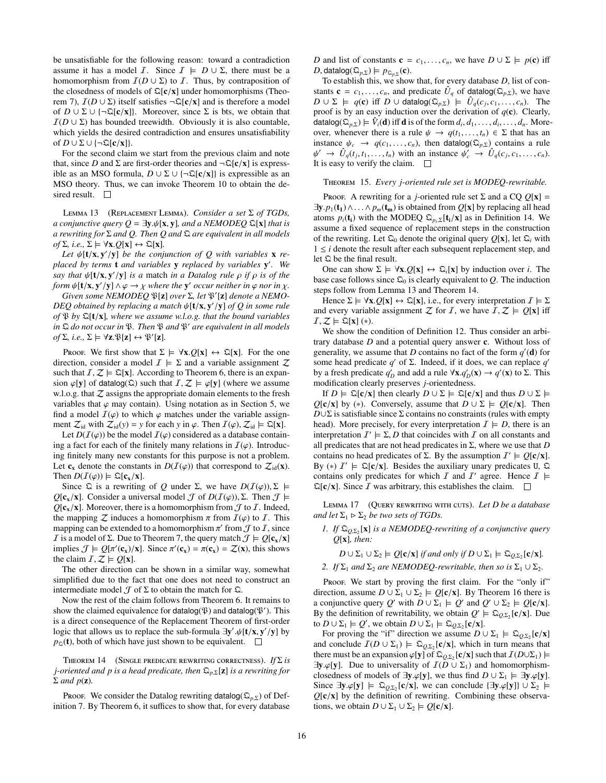be unsatisfiable for the following reason: toward a contradiction assume it has a model *I*. Since  $I \models D \cup \Sigma$ , there must be a homomorphism from  $\mathcal{I}(D \cup \Sigma)$  to  $\mathcal{I}$ . Thus, by contraposition of the closedness of models of  $\mathbb{Q}[\mathbf{c}/\mathbf{x}]$  under homomorphisms (Theo-rem [7\)](#page-5-4),  $\mathcal{I}(D \cup \Sigma)$  itself satisfies  $\neg \mathcal{Q}[c/x]$  and is therefore a model of  $D \cup \Sigma \cup \{\neg \mathcal{Q}[\mathbf{c}/\mathbf{x}]\}\$ . Moreover, since  $\Sigma$  is bts, we obtain that  $I(D \cup \Sigma)$  has bounded treewidth. Obviously it is also countable, which yields the desired contradiction and ensures unsatisfiability of  $D \cup \Sigma \cup \{\neg \mathfrak{Q}[\mathbf{c}/\mathbf{x}]\}.$ 

For the second claim we start from the previous claim and note that, since *D* and  $\Sigma$  are first-order theories and  $\neg \mathcal{Q}[c/x]$  is expressible as an MSO formula,  $D \cup \Sigma \cup \{\neg \mathfrak{Q}[\mathbf{c}/\mathbf{x}]\}\$ is expressible as an MSO theory. Thus, we can invoke Theorem [10](#page-6-1) to obtain the desired result.  $\square$ 

Lemma 13 (Replacement Lemma). *Consider a set* Σ *of TGDs, a conjunctive query Q* =  $\exists y.\psi[x, y]$ *, and a NEMODEQ*  $\Omega[x]$  *that is a rewriting for* Σ *and Q. Then Q and* Q *are equivalent in all models*  $of \Sigma$ *, i.e.,*  $\Sigma \models \forall \mathbf{x}. Q[\mathbf{x}] \leftrightarrow \mathcal{Q}[\mathbf{x}]$ *.* 

Let  $\psi$ **[t/x, y'/y]** *be the conjunction of Q with variables* **x** *replaced by terms* t *and variables* y *replaced by variables* y 0 *. We say that*  $\psi[t/x, y'/y]$  *is a* match *in a Datalog rule ρ if ρ is of the*<br>*form*  $\psi[t/x, y'/y] \land \varphi \rightarrow y$  *where the* y' *occur neither in*  $\varphi$  *nor in y form*  $\psi[\mathbf{t}/\mathbf{x}, \mathbf{y}/\mathbf{y}] \wedge \varphi \rightarrow \chi$  *where the* **y**' *occur neither in*  $\varphi$  *nor in*  $\chi$ .<br>*Given some NEMODEO* W[**x**] *over*  $\Sigma$  *let*  $\mathbb{R}^{\chi}[\mathbf{x}]$  *denote a NEMO*.

*Given some NEMODEQ*  $\mathfrak{P}[z]$  *over*  $\Sigma$ *, let*  $\mathfrak{P}'[z]$  *denote a NEMO-DEQ obtained by replacing a match*  $\psi[\mathbf{t}/\mathbf{x}, \mathbf{y}'/y]$  *of Q in some rule*<br>*of*  $\Re$  *by*  $\Im[\mathbf{t}/\mathbf{x}]$  *where we assume w l o g that the bound variables of* <sup>P</sup> *by* <sup>Q</sup>[t/x]*, where we assume w.l.o.g. that the bound variables in*  $\Omega$  *do not occur in*  $\mathfrak P$ *. Then*  $\mathfrak P$  *and*  $\mathfrak P'$  *are equivalent in all models*  $of \Sigma$ , *i.e.*,  $\Sigma \models \forall z \cdot \mathfrak{P}[z] \leftrightarrow \mathfrak{P}'[z]$ .

Proof. We first show that  $\Sigma \models \forall x. Q[x] \leftrightarrow \mathcal{Q}[x]$ . For the one direction, consider a model  $\mathcal{I} \models \Sigma$  and a variable assignment  $\mathcal{Z}$ such that  $I, Z \models \mathfrak{Q}[x]$ . According to Theorem [6,](#page-5-5) there is an expansion  $\varphi[\mathbf{y}]$  of datalog( $\Omega$ ) such that  $\mathcal{I}, \mathcal{Z} \models \varphi[\mathbf{y}]$  (where we assume w.l.o.g. that  $Z$  assigns the appropriate domain elements to the fresh variables that  $\varphi$  may contain). Using notation as in Section [5,](#page-6-0) we find a model  $\mathcal{I}(\varphi)$  to which  $\varphi$  matches under the variable assignment  $Z_{id}$  with  $Z_{id}(y) = y$  for each *y* in  $\varphi$ . Then  $I(\varphi), Z_{id} \models \mathfrak{Q}[x]$ .

Let  $D(I(\varphi))$  be the model  $I(\varphi)$  considered as a database containing a fact for each of the finitely many relations in  $\mathcal{I}(\varphi)$ . Introducing finitely many new constants for this purpose is not a problem. Let  $c_x$  denote the constants in  $D(I(\varphi))$  that correspond to  $\mathcal{Z}_{\text{id}}(x)$ . Then  $D(\mathcal{I}(\varphi)) \models \mathfrak{Q}[\mathbf{c}_{\mathbf{x}}/\mathbf{x}].$ 

Since  $\Omega$  is a rewriting of *Q* under Σ, we have  $D(I(\varphi))$ , Σ  $\models$ *Q*[c<sub>x</sub>/x]. Consider a universal model *J* of *D*(*I*( $\varphi$ )), Σ. Then *J*  $\models$  $Q[c_x/x]$ . Moreover, there is a homomorphism from  $\mathcal J$  to  $\mathcal I$ . Indeed, the mapping  $\mathcal Z$  induces a homomorphism  $\pi$  from  $I(\varphi)$  to  $I$ . This mapping can be extended to a homomorphism  $\pi'$  from  $\mathcal J$  to  $\mathcal I$ , since  $\mathcal I$  is a model of  $\Sigma$ . Due to Theorem 7, the query match  $\mathcal I \vdash \Omega$  [c /x] *I* is a model of Σ. Due to Theorem [7,](#page-5-4) the query match  $\mathcal{J} \models Q[c_x/x]$ implies  $\mathcal{J} \models Q[\pi'(\mathbf{c}_x)/\mathbf{x}]$ . Since  $\pi'(\mathbf{c}_x) = \pi(\mathbf{c}_x) = \mathcal{Z}(\mathbf{x})$ , this shows the claim  $\mathcal{I} \not\subset \rightarrow O[\mathbf{x}]$ the claim  $\mathcal{I}, \mathcal{Z} \models Q[\mathbf{x}].$ 

The other direction can be shown in a similar way, somewhat simplified due to the fact that one does not need to construct an intermediate model  $\mathcal J$  of  $\Sigma$  to obtain the match for  $\mathfrak Q$ .

Now the rest of the claim follows from Theorem [6.](#page-5-5) It remains to show the claimed equivalence for datalog( $\mathfrak{P}$ ) and datalog( $\mathfrak{P}'$ ). This is a direct consequence of the Replacement Theorem of first-order logic that allows us to replace the sub-formula  $\exists y'.\psi[t/x, y'/y]$  by  $p_2(t)$  both of which have just shown to be equivalent  $p_{\mathcal{Q}}(t)$ , both of which have just shown to be equivalent.  $\square$ 

Theorem 14 (Single predicate rewriting correctness). *If* Σ *is j-oriented and p is a head predicate, then* <sup>Q</sup>*<sup>p</sup>*,<sup>Σ</sup>[z] *is a rewriting for*  $\Sigma$  *and*  $p(\mathbf{z})$ *.* 

Proof. We consider the Datalog rewriting datalog( $\mathfrak{Q}_{p,\Sigma}$ ) of Definition [7.](#page-5-3) By Theorem [6,](#page-5-5) it suffices to show that, for every database *D* and list of constants  $\mathbf{c} = c_1, \dots, c_n$ , we have  $D \cup \Sigma \models p(\mathbf{c})$  iff *D*, datalog( $\mathfrak{Q}_{p,\Sigma}$ )  $\models p_{\mathfrak{Q}_{p,\Sigma}}(c)$ .<br>To establish this we show

To establish this, we show that, for every database *D*, list of constants  $\mathbf{c} = c_1, \ldots, c_n$ , and predicate  $\hat{U}_q$  of datalog( $\Omega_{p,\Sigma}$ ), we have  $D \cup \Sigma \vdash a(\mathbf{c})$  iff  $D \cup \text{data}(\Omega_{\Sigma}) \vdash \hat{U}(c, c, c, c)$  $D \cup \Sigma$   $\models q(c)$  iff  $D \cup$  datalog( $\mathcal{Q}_{p,\Sigma}$ )  $\models \hat{U}_q(c_j, c_1, \ldots, c_n)$ . The proof is by an easy induction over the derivation of  $q(c)$ . Clearly, datalog( $\overline{\mathbb{Q}}_{p,\Sigma}$ )  $\models \hat{V}_i(\mathbf{d})$  iff **d** is of the form  $d_i, d_1, \ldots, d_i, \ldots, d_n$ . More-<br>over whenever there is a rule  $\psi \to a(t, t) \in \Sigma$  that has an over, whenever there is a rule  $\psi \to q(t_1, \dots, t_n) \in \Sigma$  that has an instance  $\psi_c \to q(c_1, \ldots, c_n)$ , then datalog( $\mathfrak{Q}_{p,\Sigma}$ ) contains a rule It is easy to verify the claim.  $\psi' \to \hat{U}_q(t_j, t_1, \dots, t_n)$  with an instance  $\psi'_c \to \hat{U}_q(c_j, c_1, \dots, c_n)$ .<br>is easy to verify the claim

#### Theorem 15. *Every j-oriented rule set is MODEQ-rewritable.*

Proof. A rewriting for a *j*-oriented rule set  $\Sigma$  and a CQ  $Q[x]$  =  $\exists y. p_1(t_1) \wedge \ldots \wedge p_m(t_m)$  is obtained from  $Q[x]$  by replacing all head atoms  $p_i(\mathbf{t_i})$  with the MODEQ  $\mathbb{Q}_{p_i,\Sigma}[\mathbf{t_i}/\mathbf{x}]$  as in Definition [14.](#page-8-4) We assume a fixed sequence of replacement steps in the construction assume a fixed sequence of replacement steps in the construction of the rewriting. Let  $\mathfrak{Q}_0$  denote the original query  $Q[\mathbf{x}]$ , let  $\mathfrak{Q}_i$  with  $1 \leq i$  denote the result after each subsequent replacement step, and let  $\Omega$  be the final result.

One can show  $\Sigma \models \forall x. Q[x] \leftrightarrow \mathcal{Q}[x]$  by induction over *i*. The base case follows since  $\mathfrak{Q}_0$  is clearly equivalent to *Q*. The induction steps follow from Lemma [13](#page-8-3) and Theorem [14.](#page-9-1)

Hence  $\Sigma \models \forall \mathbf{x} . Q[\mathbf{x}] \leftrightarrow \mathfrak{Q}[\mathbf{x}]$ , i.e., for every interpretation  $\mathcal{I} \models \Sigma$ and every variable assignment  $Z$  for  $I$ , we have  $I, Z \models Q[x]$  iff  $I, Z \models \mathfrak{Q}[x](*)$ .

We show the condition of Definition [12.](#page-8-1) Thus consider an arbitrary database *D* and a potential query answer c. Without loss of generality, we assume that *D* contains no fact of the form  $q'(\mathbf{d})$  for some head predicate  $q'$  of  $\Sigma$ . Indeed, if it does, we can replace  $q'$ by a fresh predicate *q*<sup>'</sup><sub>*D*</sub> and add a rule  $\forall$ **x**.*q*'<sub>*D*</sub>(**x**)  $\rightarrow$  *q*'(**x**) to Σ. This modification clearly preserves *i*-orientedness modification clearly preserves *j*-orientedness.

If  $D \models \mathfrak{Q}[\mathbf{c}/\mathbf{x}]$  then clearly  $D \cup \Sigma \models \mathfrak{Q}[\mathbf{c}/\mathbf{x}]$  and thus  $D \cup \Sigma \models$ *Q*[**c**/**x**] by (\*). Conversely, assume that  $D \cup \Sigma \models Q[\mathbf{c}/\mathbf{x}]$ . Then  $D \cup \Sigma$  is satisfiable since  $\Sigma$  contains no constraints (rules with empty head). More precisely, for every interpretation  $\mathcal{I} \models D$ , there is an interpretation  $\mathcal{I}' \models \Sigma$ , *D* that coincides with  $\mathcal{I}$  on all constants and all predicates that are not head predicates in  $\Sigma$ , where we use that *D* all predicates that are not head predicates in  $\Sigma$ , where we use that  $D$ contains no head predicates of  $\Sigma$ . By the assumption  $I' \models Q[\mathbf{c}/\mathbf{x}]$ .<br>By  $(*)$   $I' \models \Sigma[\mathbf{c}/\mathbf{x}]$ . Besides the auxiliary unary predicates  $\Pi \Sigma$ By  $(*)$   $I' \models \mathbb{Q}[\mathbf{c}/\mathbf{x}]$ . Besides the auxiliary unary predicates U,  $\mathbb{Q}$  contains only predicates for which  $I$  and  $I'$  agree. Hence  $I \models$ contains only predicates for which I and I' agree. Hence  $I \models$  $\mathbb{Q}[c/x]$ . Since *I* was arbitrary, this establishes the claim.  $\square$ 

Lemma 17 (Query rewriting with cuts). *Let D be a database and let*  $\Sigma_1 \triangleright \Sigma_2$  *be two sets of TGDs.* 

#### *1. If*  $\Omega_{Q,\Sigma_2}$  [**x**] *is a NEMODEQ-rewriting of a conjunctive query O*[*x*] *is an Q*[x]*, then:*

 $D \cup \Sigma_1 \cup \Sigma_2 \models Q[\mathbf{c}/\mathbf{x}]$  *if and only if*  $D \cup \Sigma_1 \models \mathcal{Q}_{Q,\Sigma_2}[\mathbf{c}/\mathbf{x}]$ .

*2. If*  $\Sigma_1$  *and*  $\Sigma_2$  *are NEMODEQ-rewritable, then so is*  $\Sigma_1 \cup \Sigma_2$ *.* 

Proof. We start by proving the first claim. For the "only if" direction, assume  $D \cup \Sigma_1 \cup \Sigma_2 \models Q[\mathbf{c}/\mathbf{x}]$ . By Theorem [16](#page-9-7) there is a conjunctive query *Q'* with  $D \cup \Sigma_1 \models Q'$  and  $Q' \cup \Sigma_2 \models Q[\mathbf{c}/\mathbf{x}]$ .<br>By the definition of rewritability, we obtain  $Q' \vdash \mathcal{D}_{\text{on}}$  [ $\mathbf{c}/\mathbf{x}$ ]. Due By the definition of rewritability, we obtain  $Q' \models \mathcal{Q}_{Q,\Sigma_2}[\mathbf{c}/\mathbf{x}]$ . Due to  $D \cup \Sigma_1 \vdash Q'$  we obtain  $D \cup \Sigma_2 \vdash \mathcal{Q}_{Q,\Sigma_2}[\mathbf{c}/\mathbf{x}]$ . to  $D \cup \Sigma_1 \models Q'$ , we obtain  $D \cup \Sigma_1 \models \mathcal{Q}_{Q,\Sigma_2}[\mathbf{c}/\mathbf{x}]$ .<br>For proving the "if" direction we assume  $D \cup \Sigma_2$ 

For proving the "if" direction we assume  $D \cup \Sigma_1 \models \Omega_{Q,\Sigma_2}[\mathbf{c}/\mathbf{x}]$ <br>d conclude  $\mathcal{T}(D \cup \Sigma_1) \models \Omega_{Q,\Sigma_2}[\mathbf{c}/\mathbf{x}]$  which in turn means that and conclude  $I(D \cup \Sigma_1) \models \mathcal{Q}_{Q,\Sigma_2}[\mathbf{c}/\mathbf{x}]$ , which in turn means that there must be an expansion  $\omega[\mathbf{v}]$  of  $\Sigma_{\infty}[\mathbf{c}/\mathbf{x}]$  such that  $I(D \cup \Sigma_1) \models$ there must be an expansion  $\varphi[\mathbf{y}]$  of  $\mathfrak{Q}_{Q,\Sigma_2}[\mathbf{c}/\mathbf{x}]$  such that  $I(D \cup \Sigma_1) \models \exists \mathbf{v}$   $\varphi[\mathbf{v}]$ . Due to universality of  $I(D \cup \Sigma_2)$  and homomorphism- $\exists y.\varphi[y]$ . Due to universality of  $\mathcal{I}(D \cup \Sigma_1)$  and homomorphismclosedness of models of ∃y. $\varphi$ [y], we thus find *D* ∪  $\Sigma_1 \models \exists y.\varphi[y]$ . Since  $\exists y \cdot \varphi[y] \models \mathfrak{Q}_{Q,\Sigma_2}[\mathbf{c}/x]$ , we can conclude  $\{\exists y \cdot \varphi[y]\} \cup \Sigma_2 \models Q[\mathbf{c}/x]$  by the definition of rewriting. Combining these observa- $Q[c/x]$  by the definition of rewriting. Combining these observations, we obtain  $D \cup \Sigma_1 \cup \Sigma_2 \models Q[c/x]$ .